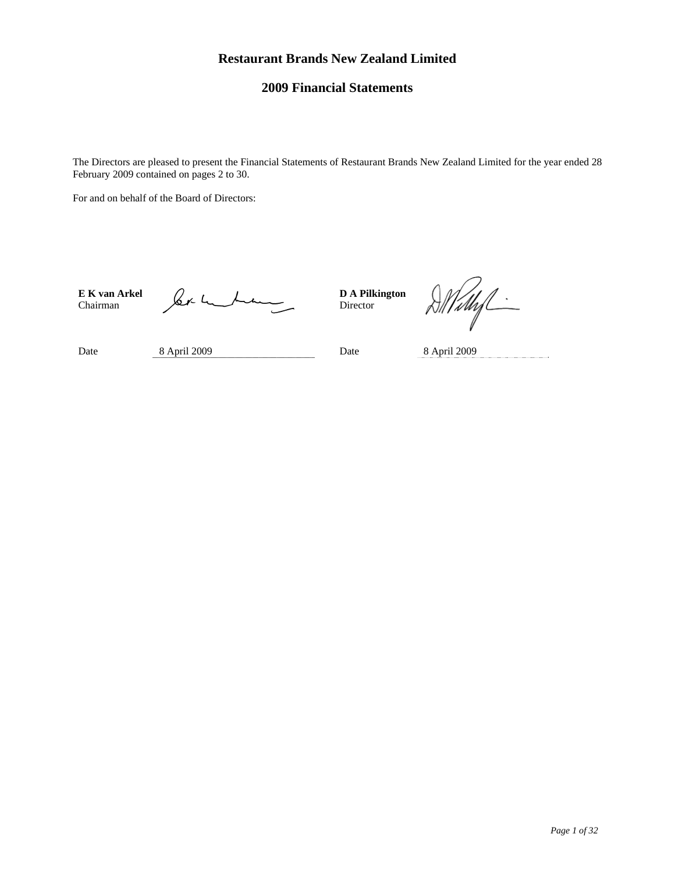# **Restaurant Brands New Zealand Limited**

# **2009 Financial Statements**

The Directors are pleased to present the Financial Statements of Restaurant Brands New Zealand Limited for the year ended 28 February 2009 contained on pages 2 to 30.

For and on behalf of the Board of Directors:

**E K van Arkel**  Chairman

ler unberg

**D A Pilkington**  Director

DMMf

Date 8 April 2009 Date 8 April 2009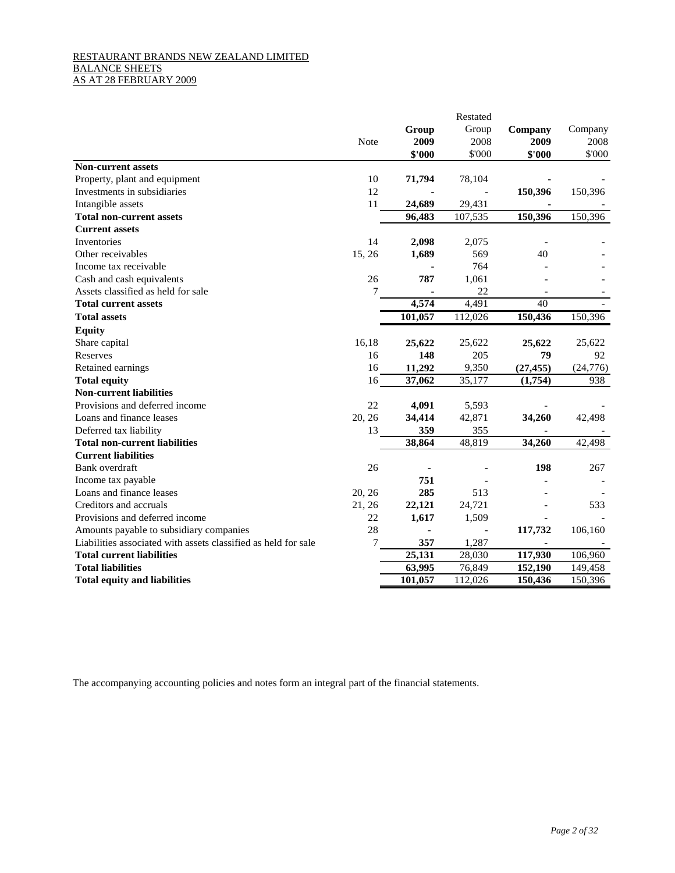# RESTAURANT BRANDS NEW ZEALAND LIMITED BALANCE SHEETS AS AT 28 FEBRUARY 2009

| Group<br>Group<br>Company<br>Company<br>2009<br>2009<br>2008<br>Note<br>2008<br>\$'000<br>\$'000<br>\$'000<br>\$'000<br><b>Non-current assets</b><br>Property, plant and equipment<br>10<br>71,794<br>78,104<br>Investments in subsidiaries<br>12<br>150,396<br>150,396<br>$\overline{a}$<br>Intangible assets<br>24,689<br>11<br>29,431<br>150,396<br><b>Total non-current assets</b><br>107,535<br>150,396<br>96,483<br><b>Current assets</b><br>2,098<br>Inventories<br>14<br>2,075<br>Other receivables<br>15, 26<br>569<br>40<br>1,689<br>Income tax receivable<br>764<br>Cash and cash equivalents<br>26<br>1,061<br>787<br>Assets classified as held for sale<br>7<br>22<br>4,574<br>4,491<br>40<br><b>Total current assets</b><br>101,057<br>150,436<br>150,396<br><b>Total assets</b><br>112,026<br><b>Equity</b><br>Share capital<br>16,18<br>25,622<br>25,622<br>25,622<br>25,622<br>205<br>79<br>16<br>148<br>92<br>Reserves<br>11,292<br>Retained earnings<br>16<br>9,350<br>(27, 455)<br>(24, 776)<br>(1,754)<br><b>Total equity</b><br>16<br>37,062<br>35,177<br>938<br><b>Non-current liabilities</b><br>22<br>4,091<br>Provisions and deferred income<br>5,593<br>Loans and finance leases<br>20, 26<br>34,414<br>42,871<br>34,260<br>42,498<br>Deferred tax liability<br>13<br>359<br>355<br>48,819<br><b>Total non-current liabilities</b><br>38,864<br>34,260<br>42,498<br><b>Current liabilities</b><br><b>Bank</b> overdraft<br>26<br>198<br>267<br>751<br>Income tax payable<br>285<br>Loans and finance leases<br>20, 26<br>513<br>Creditors and accruals<br>533<br>21, 26<br>22,121<br>24,721<br>22<br>Provisions and deferred income<br>1,617<br>1,509<br>28<br>117,732<br>Amounts payable to subsidiary companies<br>106,160<br>÷.<br>$\blacksquare$<br>Liabilities associated with assets classified as held for sale<br>357<br>1,287<br>7<br><b>Total current liabilities</b><br>25,131<br>28,030<br>117,930<br>106,960<br><b>Total liabilities</b><br>63,995<br>76,849<br>152,190<br>149,458<br>101,057<br>112,026<br><b>Total equity and liabilities</b><br>150,436<br>150,396 |  | Restated |  |
|---------------------------------------------------------------------------------------------------------------------------------------------------------------------------------------------------------------------------------------------------------------------------------------------------------------------------------------------------------------------------------------------------------------------------------------------------------------------------------------------------------------------------------------------------------------------------------------------------------------------------------------------------------------------------------------------------------------------------------------------------------------------------------------------------------------------------------------------------------------------------------------------------------------------------------------------------------------------------------------------------------------------------------------------------------------------------------------------------------------------------------------------------------------------------------------------------------------------------------------------------------------------------------------------------------------------------------------------------------------------------------------------------------------------------------------------------------------------------------------------------------------------------------------------------------------------------------------------------------------------------------------------------------------------------------------------------------------------------------------------------------------------------------------------------------------------------------------------------------------------------------------------------------------------------------------------------------------------------------------------------------------------------------------------------------------------------------------------------------------|--|----------|--|
|                                                                                                                                                                                                                                                                                                                                                                                                                                                                                                                                                                                                                                                                                                                                                                                                                                                                                                                                                                                                                                                                                                                                                                                                                                                                                                                                                                                                                                                                                                                                                                                                                                                                                                                                                                                                                                                                                                                                                                                                                                                                                                               |  |          |  |
|                                                                                                                                                                                                                                                                                                                                                                                                                                                                                                                                                                                                                                                                                                                                                                                                                                                                                                                                                                                                                                                                                                                                                                                                                                                                                                                                                                                                                                                                                                                                                                                                                                                                                                                                                                                                                                                                                                                                                                                                                                                                                                               |  |          |  |
|                                                                                                                                                                                                                                                                                                                                                                                                                                                                                                                                                                                                                                                                                                                                                                                                                                                                                                                                                                                                                                                                                                                                                                                                                                                                                                                                                                                                                                                                                                                                                                                                                                                                                                                                                                                                                                                                                                                                                                                                                                                                                                               |  |          |  |
|                                                                                                                                                                                                                                                                                                                                                                                                                                                                                                                                                                                                                                                                                                                                                                                                                                                                                                                                                                                                                                                                                                                                                                                                                                                                                                                                                                                                                                                                                                                                                                                                                                                                                                                                                                                                                                                                                                                                                                                                                                                                                                               |  |          |  |
|                                                                                                                                                                                                                                                                                                                                                                                                                                                                                                                                                                                                                                                                                                                                                                                                                                                                                                                                                                                                                                                                                                                                                                                                                                                                                                                                                                                                                                                                                                                                                                                                                                                                                                                                                                                                                                                                                                                                                                                                                                                                                                               |  |          |  |
|                                                                                                                                                                                                                                                                                                                                                                                                                                                                                                                                                                                                                                                                                                                                                                                                                                                                                                                                                                                                                                                                                                                                                                                                                                                                                                                                                                                                                                                                                                                                                                                                                                                                                                                                                                                                                                                                                                                                                                                                                                                                                                               |  |          |  |
|                                                                                                                                                                                                                                                                                                                                                                                                                                                                                                                                                                                                                                                                                                                                                                                                                                                                                                                                                                                                                                                                                                                                                                                                                                                                                                                                                                                                                                                                                                                                                                                                                                                                                                                                                                                                                                                                                                                                                                                                                                                                                                               |  |          |  |
|                                                                                                                                                                                                                                                                                                                                                                                                                                                                                                                                                                                                                                                                                                                                                                                                                                                                                                                                                                                                                                                                                                                                                                                                                                                                                                                                                                                                                                                                                                                                                                                                                                                                                                                                                                                                                                                                                                                                                                                                                                                                                                               |  |          |  |
|                                                                                                                                                                                                                                                                                                                                                                                                                                                                                                                                                                                                                                                                                                                                                                                                                                                                                                                                                                                                                                                                                                                                                                                                                                                                                                                                                                                                                                                                                                                                                                                                                                                                                                                                                                                                                                                                                                                                                                                                                                                                                                               |  |          |  |
|                                                                                                                                                                                                                                                                                                                                                                                                                                                                                                                                                                                                                                                                                                                                                                                                                                                                                                                                                                                                                                                                                                                                                                                                                                                                                                                                                                                                                                                                                                                                                                                                                                                                                                                                                                                                                                                                                                                                                                                                                                                                                                               |  |          |  |
|                                                                                                                                                                                                                                                                                                                                                                                                                                                                                                                                                                                                                                                                                                                                                                                                                                                                                                                                                                                                                                                                                                                                                                                                                                                                                                                                                                                                                                                                                                                                                                                                                                                                                                                                                                                                                                                                                                                                                                                                                                                                                                               |  |          |  |
|                                                                                                                                                                                                                                                                                                                                                                                                                                                                                                                                                                                                                                                                                                                                                                                                                                                                                                                                                                                                                                                                                                                                                                                                                                                                                                                                                                                                                                                                                                                                                                                                                                                                                                                                                                                                                                                                                                                                                                                                                                                                                                               |  |          |  |
|                                                                                                                                                                                                                                                                                                                                                                                                                                                                                                                                                                                                                                                                                                                                                                                                                                                                                                                                                                                                                                                                                                                                                                                                                                                                                                                                                                                                                                                                                                                                                                                                                                                                                                                                                                                                                                                                                                                                                                                                                                                                                                               |  |          |  |
|                                                                                                                                                                                                                                                                                                                                                                                                                                                                                                                                                                                                                                                                                                                                                                                                                                                                                                                                                                                                                                                                                                                                                                                                                                                                                                                                                                                                                                                                                                                                                                                                                                                                                                                                                                                                                                                                                                                                                                                                                                                                                                               |  |          |  |
|                                                                                                                                                                                                                                                                                                                                                                                                                                                                                                                                                                                                                                                                                                                                                                                                                                                                                                                                                                                                                                                                                                                                                                                                                                                                                                                                                                                                                                                                                                                                                                                                                                                                                                                                                                                                                                                                                                                                                                                                                                                                                                               |  |          |  |
|                                                                                                                                                                                                                                                                                                                                                                                                                                                                                                                                                                                                                                                                                                                                                                                                                                                                                                                                                                                                                                                                                                                                                                                                                                                                                                                                                                                                                                                                                                                                                                                                                                                                                                                                                                                                                                                                                                                                                                                                                                                                                                               |  |          |  |
|                                                                                                                                                                                                                                                                                                                                                                                                                                                                                                                                                                                                                                                                                                                                                                                                                                                                                                                                                                                                                                                                                                                                                                                                                                                                                                                                                                                                                                                                                                                                                                                                                                                                                                                                                                                                                                                                                                                                                                                                                                                                                                               |  |          |  |
|                                                                                                                                                                                                                                                                                                                                                                                                                                                                                                                                                                                                                                                                                                                                                                                                                                                                                                                                                                                                                                                                                                                                                                                                                                                                                                                                                                                                                                                                                                                                                                                                                                                                                                                                                                                                                                                                                                                                                                                                                                                                                                               |  |          |  |
|                                                                                                                                                                                                                                                                                                                                                                                                                                                                                                                                                                                                                                                                                                                                                                                                                                                                                                                                                                                                                                                                                                                                                                                                                                                                                                                                                                                                                                                                                                                                                                                                                                                                                                                                                                                                                                                                                                                                                                                                                                                                                                               |  |          |  |
|                                                                                                                                                                                                                                                                                                                                                                                                                                                                                                                                                                                                                                                                                                                                                                                                                                                                                                                                                                                                                                                                                                                                                                                                                                                                                                                                                                                                                                                                                                                                                                                                                                                                                                                                                                                                                                                                                                                                                                                                                                                                                                               |  |          |  |
|                                                                                                                                                                                                                                                                                                                                                                                                                                                                                                                                                                                                                                                                                                                                                                                                                                                                                                                                                                                                                                                                                                                                                                                                                                                                                                                                                                                                                                                                                                                                                                                                                                                                                                                                                                                                                                                                                                                                                                                                                                                                                                               |  |          |  |
|                                                                                                                                                                                                                                                                                                                                                                                                                                                                                                                                                                                                                                                                                                                                                                                                                                                                                                                                                                                                                                                                                                                                                                                                                                                                                                                                                                                                                                                                                                                                                                                                                                                                                                                                                                                                                                                                                                                                                                                                                                                                                                               |  |          |  |
|                                                                                                                                                                                                                                                                                                                                                                                                                                                                                                                                                                                                                                                                                                                                                                                                                                                                                                                                                                                                                                                                                                                                                                                                                                                                                                                                                                                                                                                                                                                                                                                                                                                                                                                                                                                                                                                                                                                                                                                                                                                                                                               |  |          |  |
|                                                                                                                                                                                                                                                                                                                                                                                                                                                                                                                                                                                                                                                                                                                                                                                                                                                                                                                                                                                                                                                                                                                                                                                                                                                                                                                                                                                                                                                                                                                                                                                                                                                                                                                                                                                                                                                                                                                                                                                                                                                                                                               |  |          |  |
|                                                                                                                                                                                                                                                                                                                                                                                                                                                                                                                                                                                                                                                                                                                                                                                                                                                                                                                                                                                                                                                                                                                                                                                                                                                                                                                                                                                                                                                                                                                                                                                                                                                                                                                                                                                                                                                                                                                                                                                                                                                                                                               |  |          |  |
|                                                                                                                                                                                                                                                                                                                                                                                                                                                                                                                                                                                                                                                                                                                                                                                                                                                                                                                                                                                                                                                                                                                                                                                                                                                                                                                                                                                                                                                                                                                                                                                                                                                                                                                                                                                                                                                                                                                                                                                                                                                                                                               |  |          |  |
|                                                                                                                                                                                                                                                                                                                                                                                                                                                                                                                                                                                                                                                                                                                                                                                                                                                                                                                                                                                                                                                                                                                                                                                                                                                                                                                                                                                                                                                                                                                                                                                                                                                                                                                                                                                                                                                                                                                                                                                                                                                                                                               |  |          |  |
|                                                                                                                                                                                                                                                                                                                                                                                                                                                                                                                                                                                                                                                                                                                                                                                                                                                                                                                                                                                                                                                                                                                                                                                                                                                                                                                                                                                                                                                                                                                                                                                                                                                                                                                                                                                                                                                                                                                                                                                                                                                                                                               |  |          |  |
|                                                                                                                                                                                                                                                                                                                                                                                                                                                                                                                                                                                                                                                                                                                                                                                                                                                                                                                                                                                                                                                                                                                                                                                                                                                                                                                                                                                                                                                                                                                                                                                                                                                                                                                                                                                                                                                                                                                                                                                                                                                                                                               |  |          |  |
|                                                                                                                                                                                                                                                                                                                                                                                                                                                                                                                                                                                                                                                                                                                                                                                                                                                                                                                                                                                                                                                                                                                                                                                                                                                                                                                                                                                                                                                                                                                                                                                                                                                                                                                                                                                                                                                                                                                                                                                                                                                                                                               |  |          |  |
|                                                                                                                                                                                                                                                                                                                                                                                                                                                                                                                                                                                                                                                                                                                                                                                                                                                                                                                                                                                                                                                                                                                                                                                                                                                                                                                                                                                                                                                                                                                                                                                                                                                                                                                                                                                                                                                                                                                                                                                                                                                                                                               |  |          |  |
|                                                                                                                                                                                                                                                                                                                                                                                                                                                                                                                                                                                                                                                                                                                                                                                                                                                                                                                                                                                                                                                                                                                                                                                                                                                                                                                                                                                                                                                                                                                                                                                                                                                                                                                                                                                                                                                                                                                                                                                                                                                                                                               |  |          |  |
|                                                                                                                                                                                                                                                                                                                                                                                                                                                                                                                                                                                                                                                                                                                                                                                                                                                                                                                                                                                                                                                                                                                                                                                                                                                                                                                                                                                                                                                                                                                                                                                                                                                                                                                                                                                                                                                                                                                                                                                                                                                                                                               |  |          |  |
|                                                                                                                                                                                                                                                                                                                                                                                                                                                                                                                                                                                                                                                                                                                                                                                                                                                                                                                                                                                                                                                                                                                                                                                                                                                                                                                                                                                                                                                                                                                                                                                                                                                                                                                                                                                                                                                                                                                                                                                                                                                                                                               |  |          |  |
|                                                                                                                                                                                                                                                                                                                                                                                                                                                                                                                                                                                                                                                                                                                                                                                                                                                                                                                                                                                                                                                                                                                                                                                                                                                                                                                                                                                                                                                                                                                                                                                                                                                                                                                                                                                                                                                                                                                                                                                                                                                                                                               |  |          |  |
|                                                                                                                                                                                                                                                                                                                                                                                                                                                                                                                                                                                                                                                                                                                                                                                                                                                                                                                                                                                                                                                                                                                                                                                                                                                                                                                                                                                                                                                                                                                                                                                                                                                                                                                                                                                                                                                                                                                                                                                                                                                                                                               |  |          |  |
|                                                                                                                                                                                                                                                                                                                                                                                                                                                                                                                                                                                                                                                                                                                                                                                                                                                                                                                                                                                                                                                                                                                                                                                                                                                                                                                                                                                                                                                                                                                                                                                                                                                                                                                                                                                                                                                                                                                                                                                                                                                                                                               |  |          |  |

The accompanying accounting policies and notes form an integral part of the financial statements.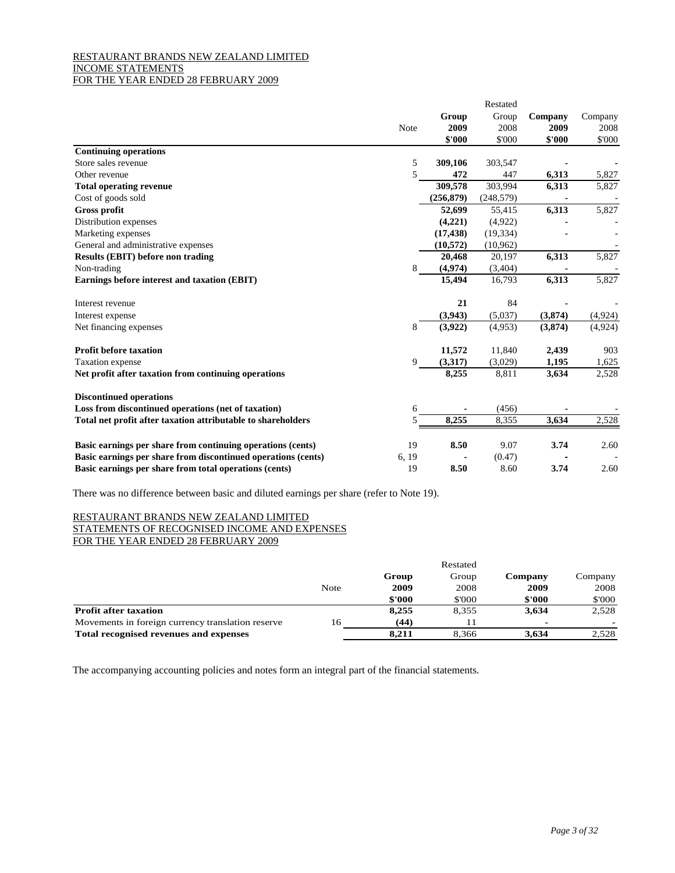# RESTAURANT BRANDS NEW ZEALAND LIMITED INCOME STATEMENTS FOR THE YEAR ENDED 28 FEBRUARY 2009

|                                                               |       |            | Restated   |         |         |
|---------------------------------------------------------------|-------|------------|------------|---------|---------|
|                                                               |       | Group      | Group      | Company | Company |
|                                                               | Note  | 2009       | 2008       | 2009    | 2008    |
|                                                               |       | \$'000     | \$'000     | \$'000  | \$'000  |
| <b>Continuing operations</b>                                  |       |            |            |         |         |
| Store sales revenue                                           | 5     | 309,106    | 303,547    |         |         |
| Other revenue                                                 | 5     | 472        | 447        | 6,313   | 5,827   |
| <b>Total operating revenue</b>                                |       | 309,578    | 303,994    | 6,313   | 5,827   |
| Cost of goods sold                                            |       | (256, 879) | (248, 579) |         |         |
| Gross profit                                                  |       | 52,699     | 55,415     | 6,313   | 5,827   |
| Distribution expenses                                         |       | (4,221)    | (4,922)    |         |         |
| Marketing expenses                                            |       | (17, 438)  | (19, 334)  |         |         |
| General and administrative expenses                           |       | (10,572)   | (10,962)   |         |         |
| <b>Results (EBIT) before non trading</b>                      |       | 20,468     | 20,197     | 6,313   | 5,827   |
| Non-trading                                                   | 8     | (4,974)    | (3,404)    |         |         |
| Earnings before interest and taxation (EBIT)                  |       | 15,494     | 16,793     | 6,313   | 5,827   |
| Interest revenue                                              |       | 21         | 84         |         |         |
| Interest expense                                              |       | (3,943)    | (5,037)    | (3,874) | (4,924) |
| Net financing expenses                                        | 8     | (3,922)    | (4,953)    | (3,874) | (4,924) |
| <b>Profit before taxation</b>                                 |       | 11,572     | 11,840     | 2,439   | 903     |
| Taxation expense                                              | 9     | (3,317)    | (3,029)    | 1,195   | 1,625   |
| Net profit after taxation from continuing operations          |       | 8,255      | 8,811      | 3,634   | 2,528   |
| <b>Discontinued operations</b>                                |       |            |            |         |         |
| Loss from discontinued operations (net of taxation)           | 6     |            | (456)      |         |         |
| Total net profit after taxation attributable to shareholders  | 5     | 8,255      | 8,355      | 3,634   | 2,528   |
| Basic earnings per share from continuing operations (cents)   | 19    | 8.50       | 9.07       | 3.74    | 2.60    |
| Basic earnings per share from discontinued operations (cents) | 6, 19 |            | (0.47)     |         |         |
| Basic earnings per share from total operations (cents)        | 19    | 8.50       | 8.60       | 3.74    | 2.60    |

There was no difference between basic and diluted earnings per share (refer to Note 19).

# RESTAURANT BRANDS NEW ZEALAND LIMITED STATEMENTS OF RECOGNISED INCOME AND EXPENSES FOR THE YEAR ENDED 28 FEBRUARY 2009

|                                                   |      | Group  | Group  | Company | Company |
|---------------------------------------------------|------|--------|--------|---------|---------|
|                                                   | Note | 2009   | 2008   | 2009    | 2008    |
|                                                   |      | \$'000 | \$'000 | \$'000  | \$'000  |
| <b>Profit after taxation</b>                      |      | 8.255  | 8.355  | 3.634   | 2,528   |
| Movements in foreign currency translation reserve | 16   | (44)   |        |         | -       |
| Total recognised revenues and expenses            |      | 8.211  | 8.366  | 3.634   | 2,528   |

The accompanying accounting policies and notes form an integral part of the financial statements.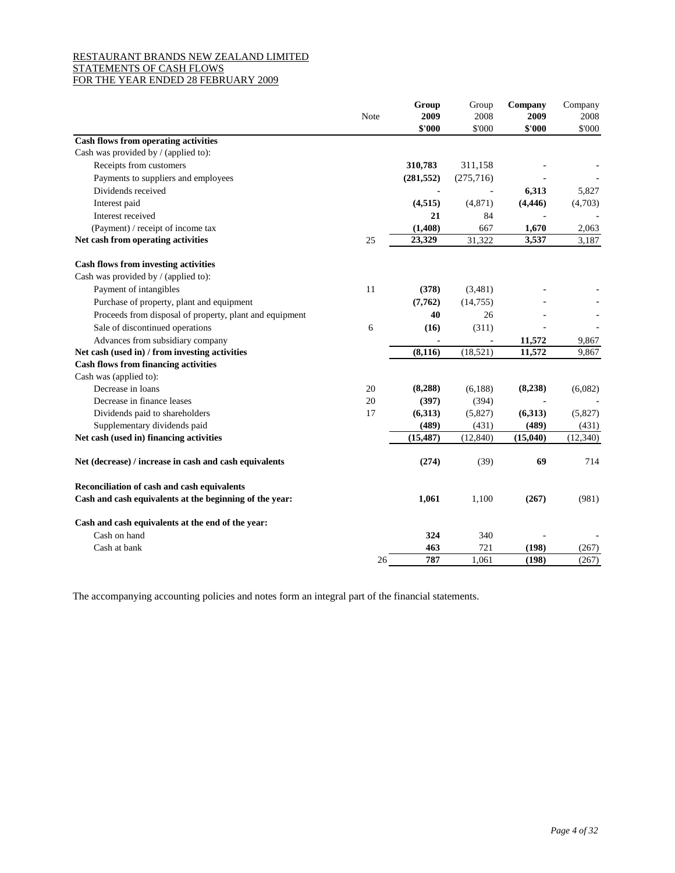# RESTAURANT BRANDS NEW ZEALAND LIMITED STATEMENTS OF CASH FLOWS

|  |  |  | FOR THE YEAR ENDED 28 FEBRUARY 2009 |
|--|--|--|-------------------------------------|
|--|--|--|-------------------------------------|

|                                                         |      | Group                    | Group                    | Company  | Company  |
|---------------------------------------------------------|------|--------------------------|--------------------------|----------|----------|
|                                                         | Note | 2009                     | 2008                     | 2009     | 2008     |
|                                                         |      | \$'000                   | \$'000                   | \$'000   | \$'000   |
| <b>Cash flows from operating activities</b>             |      |                          |                          |          |          |
| Cash was provided by / (applied to):                    |      |                          |                          |          |          |
| Receipts from customers                                 |      | 310,783                  | 311,158                  |          |          |
| Payments to suppliers and employees                     |      | (281, 552)               | (275, 716)               |          |          |
| Dividends received                                      |      | $\sim$                   | $\overline{\phantom{a}}$ | 6,313    | 5,827    |
| Interest paid                                           |      | (4,515)                  | (4,871)                  | (4, 446) | (4,703)  |
| Interest received                                       |      | 21                       | 84                       |          |          |
| (Payment) / receipt of income tax                       |      | (1, 408)                 | 667                      | 1,670    | 2,063    |
| Net cash from operating activities                      | 25   | 23,329                   | 31,322                   | 3,537    | 3,187    |
| <b>Cash flows from investing activities</b>             |      |                          |                          |          |          |
| Cash was provided by / (applied to):                    |      |                          |                          |          |          |
| Payment of intangibles                                  | 11   | (378)                    | (3,481)                  |          |          |
| Purchase of property, plant and equipment               |      | (7,762)                  | (14, 755)                |          |          |
| Proceeds from disposal of property, plant and equipment |      | 40                       | 26                       |          |          |
| Sale of discontinued operations                         | 6    | (16)                     | (311)                    |          |          |
| Advances from subsidiary company                        |      | $\overline{\phantom{a}}$ | ÷,                       | 11,572   | 9,867    |
| Net cash (used in) / from investing activities          |      | (8, 116)                 | (18, 521)                | 11,572   | 9,867    |
| <b>Cash flows from financing activities</b>             |      |                          |                          |          |          |
| Cash was (applied to):                                  |      |                          |                          |          |          |
| Decrease in loans                                       | 20   | (8, 288)                 | (6,188)                  | (8,238)  | (6,082)  |
| Decrease in finance leases                              | 20   | (397)                    | (394)                    |          |          |
| Dividends paid to shareholders                          | 17   | (6,313)                  | (5,827)                  | (6,313)  | (5,827)  |
| Supplementary dividends paid                            |      | (489)                    | (431)                    | (489)    | (431)    |
| Net cash (used in) financing activities                 |      | (15, 487)                | (12, 840)                | (15,040) | (12,340) |
| Net (decrease) / increase in cash and cash equivalents  |      | (274)                    | (39)                     | 69       | 714      |
| Reconciliation of cash and cash equivalents             |      |                          |                          |          |          |
| Cash and cash equivalents at the beginning of the year: |      | 1,061                    | 1,100                    | (267)    | (981)    |
| Cash and cash equivalents at the end of the year:       |      |                          |                          |          |          |
| Cash on hand                                            |      | 324                      | 340                      |          |          |
| Cash at bank                                            |      | 463                      | 721                      | (198)    | (267)    |
|                                                         | 26   | 787                      | 1,061                    | (198)    | (267)    |

The accompanying accounting policies and notes form an integral part of the financial statements.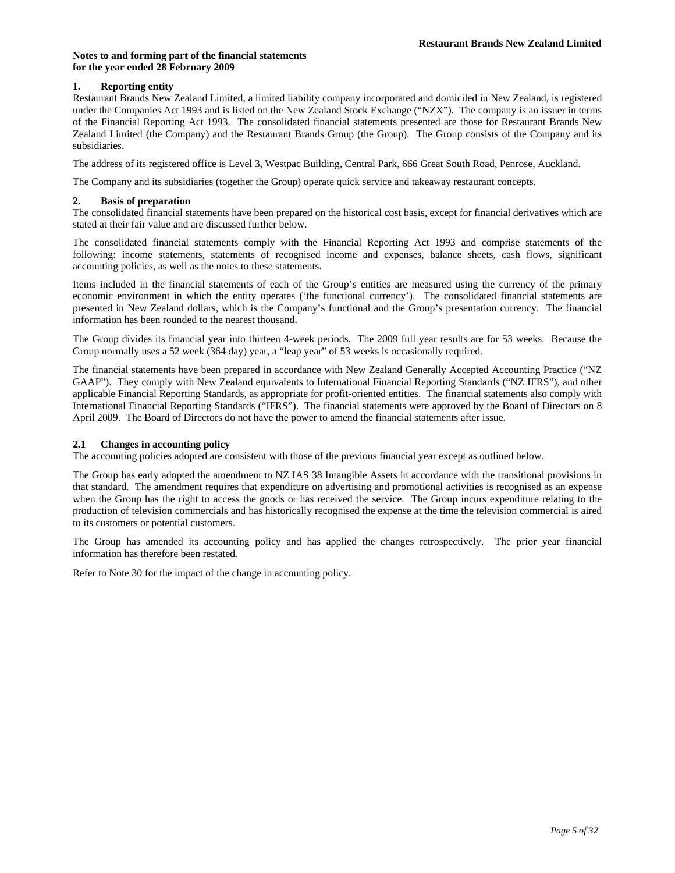# **1. Reporting entity**

Restaurant Brands New Zealand Limited, a limited liability company incorporated and domiciled in New Zealand, is registered under the Companies Act 1993 and is listed on the New Zealand Stock Exchange ("NZX"). The company is an issuer in terms of the Financial Reporting Act 1993. The consolidated financial statements presented are those for Restaurant Brands New Zealand Limited (the Company) and the Restaurant Brands Group (the Group). The Group consists of the Company and its subsidiaries.

The address of its registered office is Level 3, Westpac Building, Central Park, 666 Great South Road, Penrose, Auckland.

The Company and its subsidiaries (together the Group) operate quick service and takeaway restaurant concepts.

# **2. Basis of preparation**

The consolidated financial statements have been prepared on the historical cost basis, except for financial derivatives which are stated at their fair value and are discussed further below.

The consolidated financial statements comply with the Financial Reporting Act 1993 and comprise statements of the following: income statements, statements of recognised income and expenses, balance sheets, cash flows, significant accounting policies, as well as the notes to these statements.

Items included in the financial statements of each of the Group's entities are measured using the currency of the primary economic environment in which the entity operates ('the functional currency'). The consolidated financial statements are presented in New Zealand dollars, which is the Company's functional and the Group's presentation currency. The financial information has been rounded to the nearest thousand.

The Group divides its financial year into thirteen 4-week periods. The 2009 full year results are for 53 weeks. Because the Group normally uses a 52 week (364 day) year, a "leap year" of 53 weeks is occasionally required.

The financial statements have been prepared in accordance with New Zealand Generally Accepted Accounting Practice ("NZ GAAP"). They comply with New Zealand equivalents to International Financial Reporting Standards ("NZ IFRS"), and other applicable Financial Reporting Standards, as appropriate for profit-oriented entities. The financial statements also comply with International Financial Reporting Standards ("IFRS"). The financial statements were approved by the Board of Directors on 8 April 2009. The Board of Directors do not have the power to amend the financial statements after issue.

# **2.1 Changes in accounting policy**

The accounting policies adopted are consistent with those of the previous financial year except as outlined below.

The Group has early adopted the amendment to NZ IAS 38 Intangible Assets in accordance with the transitional provisions in that standard. The amendment requires that expenditure on advertising and promotional activities is recognised as an expense when the Group has the right to access the goods or has received the service. The Group incurs expenditure relating to the production of television commercials and has historically recognised the expense at the time the television commercial is aired to its customers or potential customers.

The Group has amended its accounting policy and has applied the changes retrospectively. The prior year financial information has therefore been restated.

Refer to Note 30 for the impact of the change in accounting policy.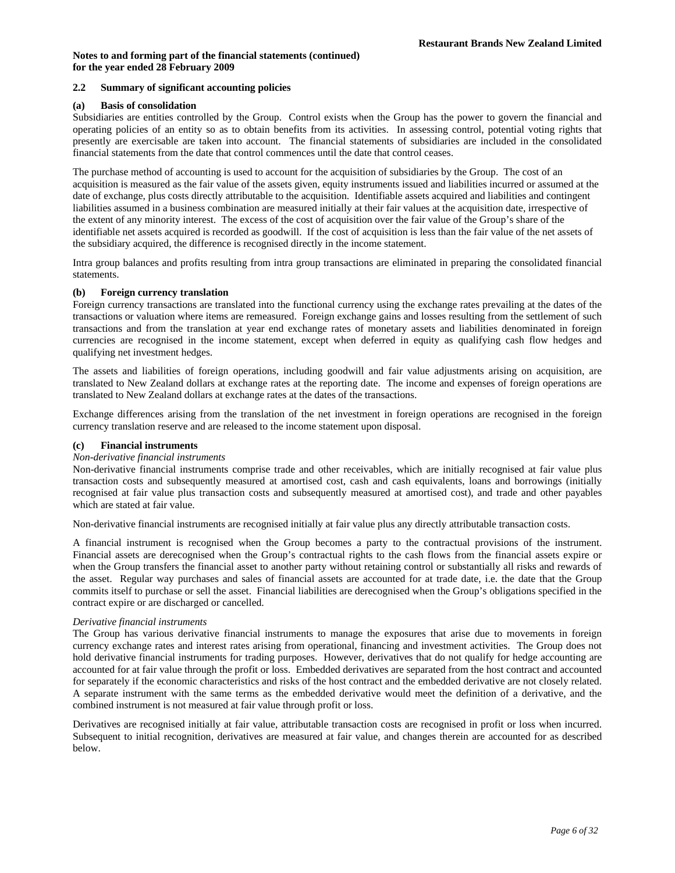# **2.2 Summary of significant accounting policies**

# **(a) Basis of consolidation**

Subsidiaries are entities controlled by the Group. Control exists when the Group has the power to govern the financial and operating policies of an entity so as to obtain benefits from its activities. In assessing control, potential voting rights that presently are exercisable are taken into account. The financial statements of subsidiaries are included in the consolidated financial statements from the date that control commences until the date that control ceases.

The purchase method of accounting is used to account for the acquisition of subsidiaries by the Group. The cost of an acquisition is measured as the fair value of the assets given, equity instruments issued and liabilities incurred or assumed at the date of exchange, plus costs directly attributable to the acquisition. Identifiable assets acquired and liabilities and contingent liabilities assumed in a business combination are measured initially at their fair values at the acquisition date, irrespective of the extent of any minority interest. The excess of the cost of acquisition over the fair value of the Group's share of the identifiable net assets acquired is recorded as goodwill. If the cost of acquisition is less than the fair value of the net assets of the subsidiary acquired, the difference is recognised directly in the income statement.

Intra group balances and profits resulting from intra group transactions are eliminated in preparing the consolidated financial statements.

## **(b) Foreign currency translation**

Foreign currency transactions are translated into the functional currency using the exchange rates prevailing at the dates of the transactions or valuation where items are remeasured. Foreign exchange gains and losses resulting from the settlement of such transactions and from the translation at year end exchange rates of monetary assets and liabilities denominated in foreign currencies are recognised in the income statement, except when deferred in equity as qualifying cash flow hedges and qualifying net investment hedges.

The assets and liabilities of foreign operations, including goodwill and fair value adjustments arising on acquisition, are translated to New Zealand dollars at exchange rates at the reporting date. The income and expenses of foreign operations are translated to New Zealand dollars at exchange rates at the dates of the transactions.

Exchange differences arising from the translation of the net investment in foreign operations are recognised in the foreign currency translation reserve and are released to the income statement upon disposal.

# **(c) Financial instruments**

### *Non-derivative financial instruments*

Non-derivative financial instruments comprise trade and other receivables, which are initially recognised at fair value plus transaction costs and subsequently measured at amortised cost, cash and cash equivalents, loans and borrowings (initially recognised at fair value plus transaction costs and subsequently measured at amortised cost), and trade and other payables which are stated at fair value.

Non-derivative financial instruments are recognised initially at fair value plus any directly attributable transaction costs.

A financial instrument is recognised when the Group becomes a party to the contractual provisions of the instrument. Financial assets are derecognised when the Group's contractual rights to the cash flows from the financial assets expire or when the Group transfers the financial asset to another party without retaining control or substantially all risks and rewards of the asset. Regular way purchases and sales of financial assets are accounted for at trade date, i.e. the date that the Group commits itself to purchase or sell the asset. Financial liabilities are derecognised when the Group's obligations specified in the contract expire or are discharged or cancelled.

### *Derivative financial instruments*

The Group has various derivative financial instruments to manage the exposures that arise due to movements in foreign currency exchange rates and interest rates arising from operational, financing and investment activities. The Group does not hold derivative financial instruments for trading purposes. However, derivatives that do not qualify for hedge accounting are accounted for at fair value through the profit or loss. Embedded derivatives are separated from the host contract and accounted for separately if the economic characteristics and risks of the host contract and the embedded derivative are not closely related. A separate instrument with the same terms as the embedded derivative would meet the definition of a derivative, and the combined instrument is not measured at fair value through profit or loss.

Derivatives are recognised initially at fair value, attributable transaction costs are recognised in profit or loss when incurred. Subsequent to initial recognition, derivatives are measured at fair value, and changes therein are accounted for as described below.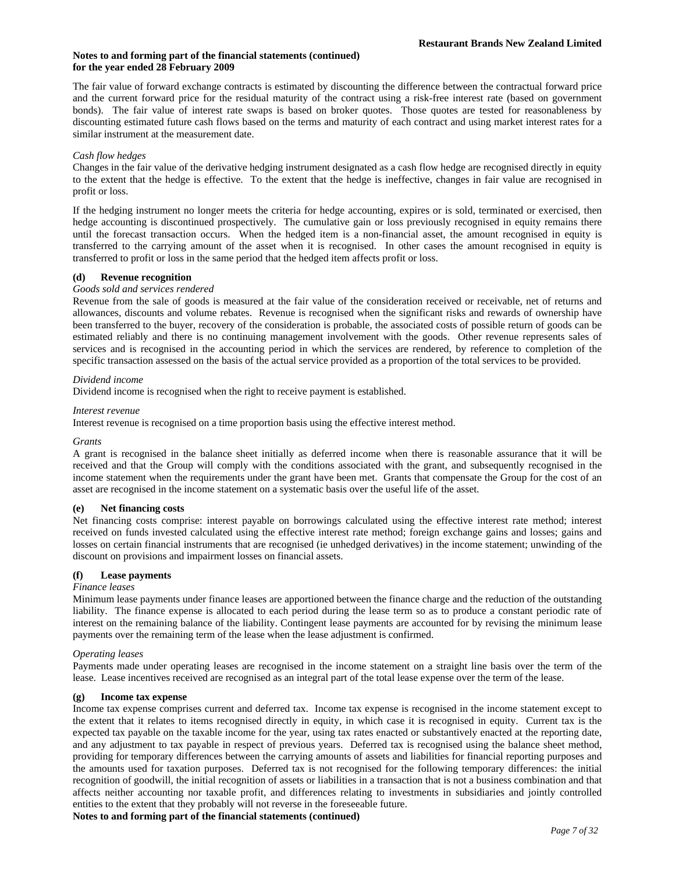The fair value of forward exchange contracts is estimated by discounting the difference between the contractual forward price and the current forward price for the residual maturity of the contract using a risk-free interest rate (based on government bonds). The fair value of interest rate swaps is based on broker quotes. Those quotes are tested for reasonableness by discounting estimated future cash flows based on the terms and maturity of each contract and using market interest rates for a similar instrument at the measurement date.

# *Cash flow hedges*

Changes in the fair value of the derivative hedging instrument designated as a cash flow hedge are recognised directly in equity to the extent that the hedge is effective. To the extent that the hedge is ineffective, changes in fair value are recognised in profit or loss.

If the hedging instrument no longer meets the criteria for hedge accounting, expires or is sold, terminated or exercised, then hedge accounting is discontinued prospectively. The cumulative gain or loss previously recognised in equity remains there until the forecast transaction occurs. When the hedged item is a non-financial asset, the amount recognised in equity is transferred to the carrying amount of the asset when it is recognised. In other cases the amount recognised in equity is transferred to profit or loss in the same period that the hedged item affects profit or loss.

## **(d) Revenue recognition**

# *Goods sold and services rendered*

Revenue from the sale of goods is measured at the fair value of the consideration received or receivable, net of returns and allowances, discounts and volume rebates. Revenue is recognised when the significant risks and rewards of ownership have been transferred to the buyer, recovery of the consideration is probable, the associated costs of possible return of goods can be estimated reliably and there is no continuing management involvement with the goods. Other revenue represents sales of services and is recognised in the accounting period in which the services are rendered, by reference to completion of the specific transaction assessed on the basis of the actual service provided as a proportion of the total services to be provided.

## *Dividend income*

Dividend income is recognised when the right to receive payment is established.

# *Interest revenue*

Interest revenue is recognised on a time proportion basis using the effective interest method.

### *Grants*

A grant is recognised in the balance sheet initially as deferred income when there is reasonable assurance that it will be received and that the Group will comply with the conditions associated with the grant, and subsequently recognised in the income statement when the requirements under the grant have been met. Grants that compensate the Group for the cost of an asset are recognised in the income statement on a systematic basis over the useful life of the asset.

### **(e) Net financing costs**

Net financing costs comprise: interest payable on borrowings calculated using the effective interest rate method; interest received on funds invested calculated using the effective interest rate method; foreign exchange gains and losses; gains and losses on certain financial instruments that are recognised (ie unhedged derivatives) in the income statement; unwinding of the discount on provisions and impairment losses on financial assets.

# **(f) Lease payments**

### *Finance leases*

Minimum lease payments under finance leases are apportioned between the finance charge and the reduction of the outstanding liability. The finance expense is allocated to each period during the lease term so as to produce a constant periodic rate of interest on the remaining balance of the liability. Contingent lease payments are accounted for by revising the minimum lease payments over the remaining term of the lease when the lease adjustment is confirmed.

### *Operating leases*

Payments made under operating leases are recognised in the income statement on a straight line basis over the term of the lease. Lease incentives received are recognised as an integral part of the total lease expense over the term of the lease.

### **(g) Income tax expense**

Income tax expense comprises current and deferred tax. Income tax expense is recognised in the income statement except to the extent that it relates to items recognised directly in equity, in which case it is recognised in equity. Current tax is the expected tax payable on the taxable income for the year, using tax rates enacted or substantively enacted at the reporting date, and any adjustment to tax payable in respect of previous years. Deferred tax is recognised using the balance sheet method, providing for temporary differences between the carrying amounts of assets and liabilities for financial reporting purposes and the amounts used for taxation purposes. Deferred tax is not recognised for the following temporary differences: the initial recognition of goodwill, the initial recognition of assets or liabilities in a transaction that is not a business combination and that affects neither accounting nor taxable profit, and differences relating to investments in subsidiaries and jointly controlled entities to the extent that they probably will not reverse in the foreseeable future.

# **Notes to and forming part of the financial statements (continued)**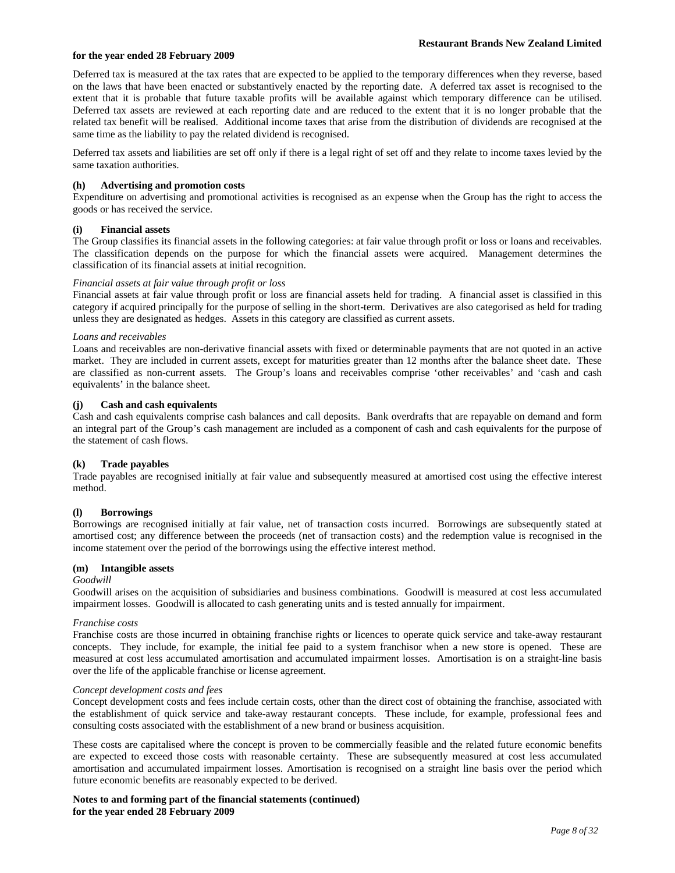### **for the year ended 28 February 2009**

Deferred tax is measured at the tax rates that are expected to be applied to the temporary differences when they reverse, based on the laws that have been enacted or substantively enacted by the reporting date. A deferred tax asset is recognised to the extent that it is probable that future taxable profits will be available against which temporary difference can be utilised. Deferred tax assets are reviewed at each reporting date and are reduced to the extent that it is no longer probable that the related tax benefit will be realised. Additional income taxes that arise from the distribution of dividends are recognised at the same time as the liability to pay the related dividend is recognised.

Deferred tax assets and liabilities are set off only if there is a legal right of set off and they relate to income taxes levied by the same taxation authorities.

### **(h) Advertising and promotion costs**

Expenditure on advertising and promotional activities is recognised as an expense when the Group has the right to access the goods or has received the service.

### **(i) Financial assets**

The Group classifies its financial assets in the following categories: at fair value through profit or loss or loans and receivables. The classification depends on the purpose for which the financial assets were acquired. Management determines the classification of its financial assets at initial recognition.

### *Financial assets at fair value through profit or loss*

Financial assets at fair value through profit or loss are financial assets held for trading. A financial asset is classified in this category if acquired principally for the purpose of selling in the short-term. Derivatives are also categorised as held for trading unless they are designated as hedges. Assets in this category are classified as current assets.

### *Loans and receivables*

Loans and receivables are non-derivative financial assets with fixed or determinable payments that are not quoted in an active market. They are included in current assets, except for maturities greater than 12 months after the balance sheet date. These are classified as non-current assets. The Group's loans and receivables comprise 'other receivables' and 'cash and cash equivalents' in the balance sheet.

### **(j) Cash and cash equivalents**

Cash and cash equivalents comprise cash balances and call deposits. Bank overdrafts that are repayable on demand and form an integral part of the Group's cash management are included as a component of cash and cash equivalents for the purpose of the statement of cash flows.

### **(k) Trade payables**

Trade payables are recognised initially at fair value and subsequently measured at amortised cost using the effective interest method.

### **(l) Borrowings**

Borrowings are recognised initially at fair value, net of transaction costs incurred. Borrowings are subsequently stated at amortised cost; any difference between the proceeds (net of transaction costs) and the redemption value is recognised in the income statement over the period of the borrowings using the effective interest method.

### **(m) Intangible assets**

### *Goodwill*

Goodwill arises on the acquisition of subsidiaries and business combinations. Goodwill is measured at cost less accumulated impairment losses. Goodwill is allocated to cash generating units and is tested annually for impairment.

### *Franchise costs*

Franchise costs are those incurred in obtaining franchise rights or licences to operate quick service and take-away restaurant concepts. They include, for example, the initial fee paid to a system franchisor when a new store is opened. These are measured at cost less accumulated amortisation and accumulated impairment losses. Amortisation is on a straight-line basis over the life of the applicable franchise or license agreement.

### *Concept development costs and fees*

Concept development costs and fees include certain costs, other than the direct cost of obtaining the franchise, associated with the establishment of quick service and take-away restaurant concepts. These include, for example, professional fees and consulting costs associated with the establishment of a new brand or business acquisition.

These costs are capitalised where the concept is proven to be commercially feasible and the related future economic benefits are expected to exceed those costs with reasonable certainty. These are subsequently measured at cost less accumulated amortisation and accumulated impairment losses. Amortisation is recognised on a straight line basis over the period which future economic benefits are reasonably expected to be derived.

**Notes to and forming part of the financial statements (continued) for the year ended 28 February 2009**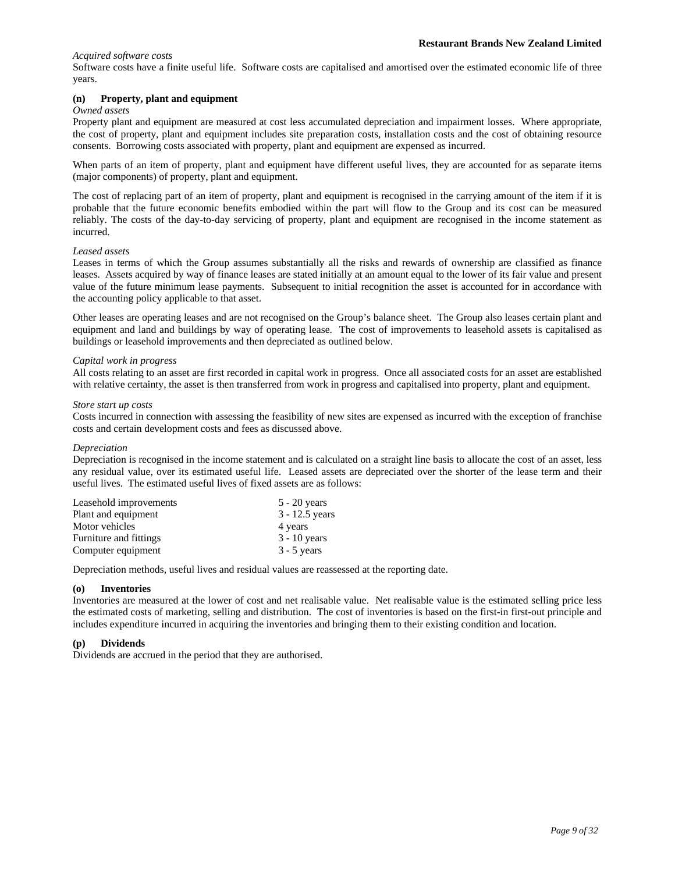# *Acquired software costs*

Software costs have a finite useful life. Software costs are capitalised and amortised over the estimated economic life of three years.

# **(n) Property, plant and equipment**

# *Owned assets*

Property plant and equipment are measured at cost less accumulated depreciation and impairment losses. Where appropriate, the cost of property, plant and equipment includes site preparation costs, installation costs and the cost of obtaining resource consents. Borrowing costs associated with property, plant and equipment are expensed as incurred.

When parts of an item of property, plant and equipment have different useful lives, they are accounted for as separate items (major components) of property, plant and equipment.

The cost of replacing part of an item of property, plant and equipment is recognised in the carrying amount of the item if it is probable that the future economic benefits embodied within the part will flow to the Group and its cost can be measured reliably. The costs of the day-to-day servicing of property, plant and equipment are recognised in the income statement as incurred.

## *Leased assets*

Leases in terms of which the Group assumes substantially all the risks and rewards of ownership are classified as finance leases. Assets acquired by way of finance leases are stated initially at an amount equal to the lower of its fair value and present value of the future minimum lease payments. Subsequent to initial recognition the asset is accounted for in accordance with the accounting policy applicable to that asset.

Other leases are operating leases and are not recognised on the Group's balance sheet. The Group also leases certain plant and equipment and land and buildings by way of operating lease. The cost of improvements to leasehold assets is capitalised as buildings or leasehold improvements and then depreciated as outlined below.

## *Capital work in progress*

All costs relating to an asset are first recorded in capital work in progress. Once all associated costs for an asset are established with relative certainty, the asset is then transferred from work in progress and capitalised into property, plant and equipment.

### *Store start up costs*

Costs incurred in connection with assessing the feasibility of new sites are expensed as incurred with the exception of franchise costs and certain development costs and fees as discussed above.

### *Depreciation*

Depreciation is recognised in the income statement and is calculated on a straight line basis to allocate the cost of an asset, less any residual value, over its estimated useful life. Leased assets are depreciated over the shorter of the lease term and their useful lives. The estimated useful lives of fixed assets are as follows:

| Leasehold improvements | $5 - 20$ years   |
|------------------------|------------------|
| Plant and equipment    | $3 - 12.5$ years |
| Motor vehicles         | 4 years          |
| Furniture and fittings | $3 - 10$ years   |
| Computer equipment     | $3 - 5$ years    |

Depreciation methods, useful lives and residual values are reassessed at the reporting date.

# **(o) Inventories**

Inventories are measured at the lower of cost and net realisable value. Net realisable value is the estimated selling price less the estimated costs of marketing, selling and distribution. The cost of inventories is based on the first-in first-out principle and includes expenditure incurred in acquiring the inventories and bringing them to their existing condition and location.

# **(p) Dividends**

Dividends are accrued in the period that they are authorised.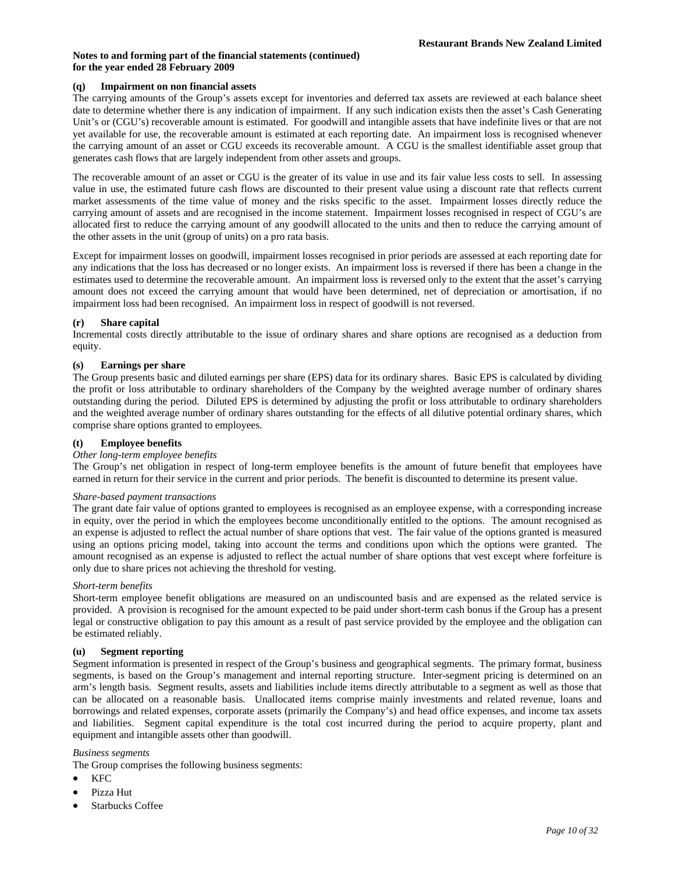# **(q) Impairment on non financial assets**

The carrying amounts of the Group's assets except for inventories and deferred tax assets are reviewed at each balance sheet date to determine whether there is any indication of impairment. If any such indication exists then the asset's Cash Generating Unit's or (CGU's) recoverable amount is estimated. For goodwill and intangible assets that have indefinite lives or that are not yet available for use, the recoverable amount is estimated at each reporting date. An impairment loss is recognised whenever the carrying amount of an asset or CGU exceeds its recoverable amount. A CGU is the smallest identifiable asset group that generates cash flows that are largely independent from other assets and groups.

The recoverable amount of an asset or CGU is the greater of its value in use and its fair value less costs to sell. In assessing value in use, the estimated future cash flows are discounted to their present value using a discount rate that reflects current market assessments of the time value of money and the risks specific to the asset. Impairment losses directly reduce the carrying amount of assets and are recognised in the income statement. Impairment losses recognised in respect of CGU's are allocated first to reduce the carrying amount of any goodwill allocated to the units and then to reduce the carrying amount of the other assets in the unit (group of units) on a pro rata basis.

Except for impairment losses on goodwill, impairment losses recognised in prior periods are assessed at each reporting date for any indications that the loss has decreased or no longer exists. An impairment loss is reversed if there has been a change in the estimates used to determine the recoverable amount. An impairment loss is reversed only to the extent that the asset's carrying amount does not exceed the carrying amount that would have been determined, net of depreciation or amortisation, if no impairment loss had been recognised. An impairment loss in respect of goodwill is not reversed.

## **(r) Share capital**

Incremental costs directly attributable to the issue of ordinary shares and share options are recognised as a deduction from equity.

## **(s) Earnings per share**

The Group presents basic and diluted earnings per share (EPS) data for its ordinary shares. Basic EPS is calculated by dividing the profit or loss attributable to ordinary shareholders of the Company by the weighted average number of ordinary shares outstanding during the period. Diluted EPS is determined by adjusting the profit or loss attributable to ordinary shareholders and the weighted average number of ordinary shares outstanding for the effects of all dilutive potential ordinary shares, which comprise share options granted to employees.

# **(t) Employee benefits**

### *Other long-term employee benefits*

The Group's net obligation in respect of long-term employee benefits is the amount of future benefit that employees have earned in return for their service in the current and prior periods. The benefit is discounted to determine its present value.

### *Share-based payment transactions*

The grant date fair value of options granted to employees is recognised as an employee expense, with a corresponding increase in equity, over the period in which the employees become unconditionally entitled to the options. The amount recognised as an expense is adjusted to reflect the actual number of share options that vest. The fair value of the options granted is measured using an options pricing model, taking into account the terms and conditions upon which the options were granted. The amount recognised as an expense is adjusted to reflect the actual number of share options that vest except where forfeiture is only due to share prices not achieving the threshold for vesting.

### *Short-term benefits*

Short-term employee benefit obligations are measured on an undiscounted basis and are expensed as the related service is provided. A provision is recognised for the amount expected to be paid under short-term cash bonus if the Group has a present legal or constructive obligation to pay this amount as a result of past service provided by the employee and the obligation can be estimated reliably.

### **(u) Segment reporting**

Segment information is presented in respect of the Group's business and geographical segments. The primary format, business segments, is based on the Group's management and internal reporting structure. Inter-segment pricing is determined on an arm's length basis. Segment results, assets and liabilities include items directly attributable to a segment as well as those that can be allocated on a reasonable basis. Unallocated items comprise mainly investments and related revenue, loans and borrowings and related expenses, corporate assets (primarily the Company's) and head office expenses, and income tax assets and liabilities. Segment capital expenditure is the total cost incurred during the period to acquire property, plant and equipment and intangible assets other than goodwill.

### *Business segments*

The Group comprises the following business segments:

- KFC
- Pizza Hut
- Starbucks Coffee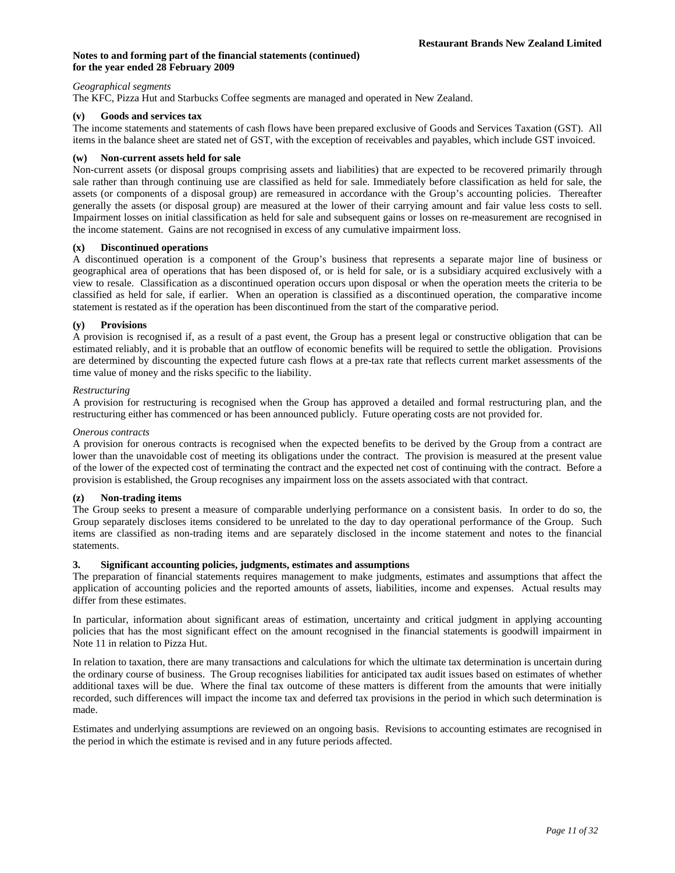# *Geographical segments*

The KFC, Pizza Hut and Starbucks Coffee segments are managed and operated in New Zealand.

# **(v) Goods and services tax**

The income statements and statements of cash flows have been prepared exclusive of Goods and Services Taxation (GST). All items in the balance sheet are stated net of GST, with the exception of receivables and payables, which include GST invoiced.

## **(w) Non-current assets held for sale**

Non-current assets (or disposal groups comprising assets and liabilities) that are expected to be recovered primarily through sale rather than through continuing use are classified as held for sale. Immediately before classification as held for sale, the assets (or components of a disposal group) are remeasured in accordance with the Group's accounting policies. Thereafter generally the assets (or disposal group) are measured at the lower of their carrying amount and fair value less costs to sell. Impairment losses on initial classification as held for sale and subsequent gains or losses on re-measurement are recognised in the income statement. Gains are not recognised in excess of any cumulative impairment loss.

### **(x) Discontinued operations**

A discontinued operation is a component of the Group's business that represents a separate major line of business or geographical area of operations that has been disposed of, or is held for sale, or is a subsidiary acquired exclusively with a view to resale. Classification as a discontinued operation occurs upon disposal or when the operation meets the criteria to be classified as held for sale, if earlier. When an operation is classified as a discontinued operation, the comparative income statement is restated as if the operation has been discontinued from the start of the comparative period.

## **(y) Provisions**

A provision is recognised if, as a result of a past event, the Group has a present legal or constructive obligation that can be estimated reliably, and it is probable that an outflow of economic benefits will be required to settle the obligation. Provisions are determined by discounting the expected future cash flows at a pre-tax rate that reflects current market assessments of the time value of money and the risks specific to the liability.

## *Restructuring*

A provision for restructuring is recognised when the Group has approved a detailed and formal restructuring plan, and the restructuring either has commenced or has been announced publicly. Future operating costs are not provided for.

### *Onerous contracts*

A provision for onerous contracts is recognised when the expected benefits to be derived by the Group from a contract are lower than the unavoidable cost of meeting its obligations under the contract. The provision is measured at the present value of the lower of the expected cost of terminating the contract and the expected net cost of continuing with the contract. Before a provision is established, the Group recognises any impairment loss on the assets associated with that contract.

# **(z) Non-trading items**

The Group seeks to present a measure of comparable underlying performance on a consistent basis. In order to do so, the Group separately discloses items considered to be unrelated to the day to day operational performance of the Group. Such items are classified as non-trading items and are separately disclosed in the income statement and notes to the financial statements.

# **3. Significant accounting policies, judgments, estimates and assumptions**

The preparation of financial statements requires management to make judgments, estimates and assumptions that affect the application of accounting policies and the reported amounts of assets, liabilities, income and expenses. Actual results may differ from these estimates.

In particular, information about significant areas of estimation, uncertainty and critical judgment in applying accounting policies that has the most significant effect on the amount recognised in the financial statements is goodwill impairment in Note 11 in relation to Pizza Hut.

In relation to taxation, there are many transactions and calculations for which the ultimate tax determination is uncertain during the ordinary course of business. The Group recognises liabilities for anticipated tax audit issues based on estimates of whether additional taxes will be due. Where the final tax outcome of these matters is different from the amounts that were initially recorded, such differences will impact the income tax and deferred tax provisions in the period in which such determination is made.

Estimates and underlying assumptions are reviewed on an ongoing basis. Revisions to accounting estimates are recognised in the period in which the estimate is revised and in any future periods affected.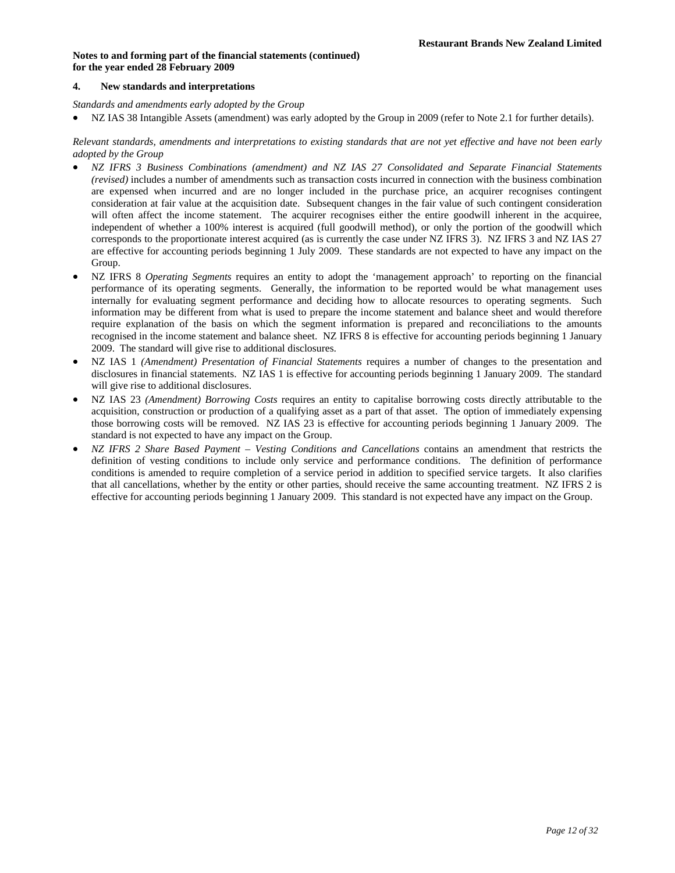# **4. New standards and interpretations**

*Standards and amendments early adopted by the Group* 

• NZ IAS 38 Intangible Assets (amendment) was early adopted by the Group in 2009 (refer to Note 2.1 for further details).

*Relevant standards, amendments and interpretations to existing standards that are not yet effective and have not been early adopted by the Group* 

- *NZ IFRS 3 Business Combinations (amendment) and NZ IAS 27 Consolidated and Separate Financial Statements (revised)* includes a number of amendments such as transaction costs incurred in connection with the business combination are expensed when incurred and are no longer included in the purchase price, an acquirer recognises contingent consideration at fair value at the acquisition date. Subsequent changes in the fair value of such contingent consideration will often affect the income statement. The acquirer recognises either the entire goodwill inherent in the acquiree, independent of whether a 100% interest is acquired (full goodwill method), or only the portion of the goodwill which corresponds to the proportionate interest acquired (as is currently the case under NZ IFRS 3). NZ IFRS 3 and NZ IAS 27 are effective for accounting periods beginning 1 July 2009. These standards are not expected to have any impact on the Group.
- NZ IFRS 8 *Operating Segments* requires an entity to adopt the 'management approach' to reporting on the financial performance of its operating segments. Generally, the information to be reported would be what management uses internally for evaluating segment performance and deciding how to allocate resources to operating segments. Such information may be different from what is used to prepare the income statement and balance sheet and would therefore require explanation of the basis on which the segment information is prepared and reconciliations to the amounts recognised in the income statement and balance sheet. NZ IFRS 8 is effective for accounting periods beginning 1 January 2009. The standard will give rise to additional disclosures.
- NZ IAS 1 *(Amendment) Presentation of Financial Statements* requires a number of changes to the presentation and disclosures in financial statements. NZ IAS 1 is effective for accounting periods beginning 1 January 2009. The standard will give rise to additional disclosures.
- NZ IAS 23 *(Amendment) Borrowing Costs* requires an entity to capitalise borrowing costs directly attributable to the acquisition, construction or production of a qualifying asset as a part of that asset. The option of immediately expensing those borrowing costs will be removed. NZ IAS 23 is effective for accounting periods beginning 1 January 2009. The standard is not expected to have any impact on the Group.
- *NZ IFRS 2 Share Based Payment Vesting Conditions and Cancellations* contains an amendment that restricts the definition of vesting conditions to include only service and performance conditions. The definition of performance conditions is amended to require completion of a service period in addition to specified service targets. It also clarifies that all cancellations, whether by the entity or other parties, should receive the same accounting treatment. NZ IFRS 2 is effective for accounting periods beginning 1 January 2009. This standard is not expected have any impact on the Group.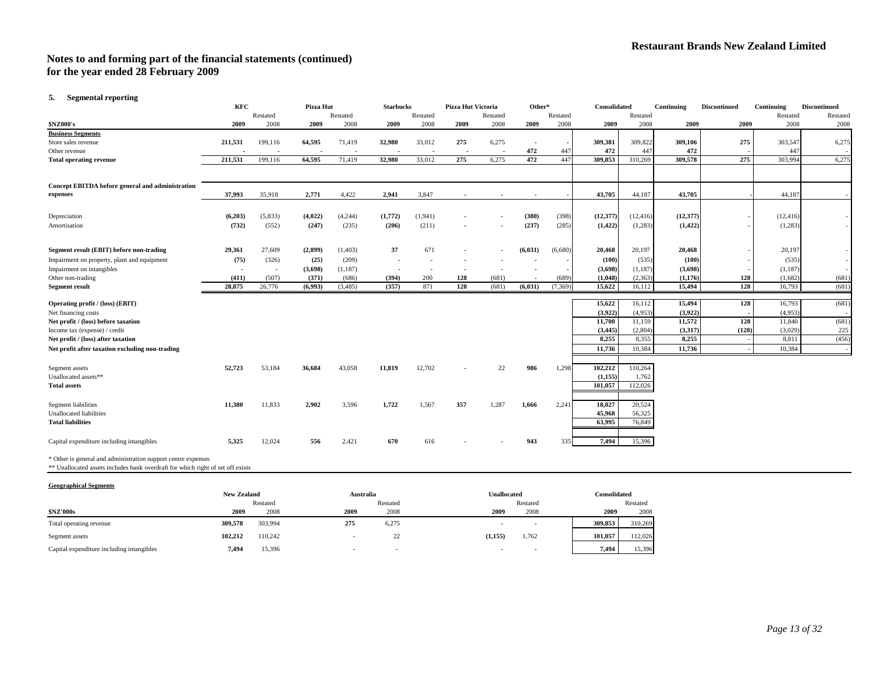### **5. Segmental reporting**

|                                                                          | KFC                              |                 | <b>Pizza Hut</b> |                  | <b>Starbucks</b>                  |          | Pizza Hut Victoria              |          | Other*                                               |          | Consolidated     |                   | Continuing       | <b>Discontinued</b> | Continuing       | Discontinued |
|--------------------------------------------------------------------------|----------------------------------|-----------------|------------------|------------------|-----------------------------------|----------|---------------------------------|----------|------------------------------------------------------|----------|------------------|-------------------|------------------|---------------------|------------------|--------------|
|                                                                          |                                  | Restated        |                  | Restated         |                                   | Restated |                                 | Restated |                                                      | Restated |                  | Restated          |                  |                     | Restated         | Restated     |
| \$NZ000's                                                                | 2009                             | 2008            | 2009             | 2008             | 2009                              | 2008     | 2009                            | 2008     | 2009                                                 | 2008     | 2009             | 2008              | 2009             | 2009                | 2008             | 2008         |
| <b>Business Segments</b>                                                 |                                  |                 |                  |                  |                                   |          |                                 |          |                                                      |          |                  |                   |                  |                     |                  |              |
| Store sales revenue                                                      | 211,531                          | 199,116         | 64,595           | 71,419           | 32,980                            | 33,012   | 275                             | 6,275    |                                                      |          | 309,381          | 309,822           | 309,106          | 275                 | 303,547          | 6,275        |
| Other revenue                                                            |                                  |                 |                  |                  |                                   |          |                                 |          | 472                                                  | 447      | 472              | 447               | 472              |                     | 447              |              |
| <b>Total operating revenue</b>                                           | 211,531                          | 199,116         | 64,595           | 71,419           | 32.980                            | 33,012   | 275                             | 6,275    | 472                                                  | 447      | 309,853          | 310,269           | 309,578          | 275                 | 303,994          | 6,275        |
| Concept EBITDA before general and administration                         |                                  |                 |                  |                  |                                   |          |                                 |          |                                                      |          |                  |                   |                  |                     |                  |              |
| expenses                                                                 | 37,993                           | 35,918          | 2,771            | 4,422            | 2,941                             | 3,847    |                                 |          |                                                      |          | 43,705           | 44,187            | 43,705           |                     | 44,187           |              |
| Depreciation                                                             | (6,203)                          | (5,833)         | (4,022)          | (4,244)          | (1,772)                           | (1,941)  |                                 |          | (380)                                                | (398)    | (12, 377)        | (12, 416)         | (12, 377)        |                     | (12, 416)        | $\sim$       |
| Amortisation                                                             | (732)                            | (552)           | (247)            | (235)            | (206)                             | (211)    |                                 |          | (237)                                                | (285)    | (1, 422)         | (1,283)           | (1, 422)         |                     | (1,283)          |              |
| Segment result (EBIT) before non-trading                                 | 29,361                           | 27,609          | (2,899)          | (1,403)          | 37                                | 671      |                                 |          | (6, 031)                                             | (6,680)  | 20,468           | 20,197            | 20,468           |                     | 20,197           |              |
|                                                                          |                                  |                 |                  |                  |                                   |          |                                 |          |                                                      |          |                  |                   |                  |                     |                  |              |
| Impairment on property, plant and equipment<br>Impairment on intangibles | (75)<br>$\overline{\phantom{a}}$ | (326)<br>$\sim$ | (25)<br>(3,698)  | (209)<br>(1,187) | $\sim$                            |          |                                 |          |                                                      |          | (100)<br>(3,698) | (535)<br>(1, 187) | (100)<br>(3,698) |                     | (535)<br>(1,187) |              |
| Other non-trading                                                        | (411)                            | (507)           | (371)            | (686)            | $\overline{\phantom{a}}$<br>(394) | 200      | $\overline{\phantom{a}}$<br>128 | (681)    | $\overline{\phantom{a}}$<br>$\overline{\phantom{a}}$ | (689)    | (1,048)          | (2, 363)          | (1,176)          | 128                 | (1,682)          | (681)        |
| <b>Segment result</b>                                                    | 28,875                           | 26,776          | (6,993)          | (3,485)          | (357)                             | 871      | 128                             | (681)    | (6, 031)                                             | (7, 369) | 15,622           | 16,112            | 15,494           | 128                 | 16,793           | (681)        |
|                                                                          |                                  |                 |                  |                  |                                   |          |                                 |          |                                                      |          |                  |                   |                  |                     |                  |              |
| Operating profit / (loss) (EBIT)                                         |                                  |                 |                  |                  |                                   |          |                                 |          |                                                      |          | 15,622           | 16,112            | 15,494           | 128                 | 16,793           | (681)        |
| Net financing costs                                                      |                                  |                 |                  |                  |                                   |          |                                 |          |                                                      |          | (3,922)          | (4,953)           | (3,922)          |                     | (4,953)          |              |
| Net profit / (loss) before taxation                                      |                                  |                 |                  |                  |                                   |          |                                 |          |                                                      |          | 11,700           | 11,159            | 11,572           | 128                 | 11,840           | (681)        |
| Income tax (expense) / credit                                            |                                  |                 |                  |                  |                                   |          |                                 |          |                                                      |          | (3, 445)         | (2,804)           | (3,317)          | (128)               | (3,029)          | 225          |
| Net profit / (loss) after taxation                                       |                                  |                 |                  |                  |                                   |          |                                 |          |                                                      |          | 8,255            | 8,355             | 8,255            |                     | 8,811            | (456)        |
| Net profit after taxation excluding non-trading                          |                                  |                 |                  |                  |                                   |          |                                 |          |                                                      |          | 11,736           | 10.384            | 11.736           |                     | 10,384           |              |
|                                                                          |                                  |                 |                  |                  |                                   |          |                                 |          |                                                      |          |                  |                   |                  |                     |                  |              |
| Segment assets                                                           | 52,723                           | 53,184          | 36,684           | 43,058           | 11,819                            | 12,702   |                                 | 22       | 986                                                  | 1,298    | 102,212          | 110,264           |                  |                     |                  |              |
| Unallocated assets**                                                     |                                  |                 |                  |                  |                                   |          |                                 |          |                                                      |          | (1, 155)         | 1,762             |                  |                     |                  |              |
| <b>Total assets</b>                                                      |                                  |                 |                  |                  |                                   |          |                                 |          |                                                      |          | 101,057          | 112,026           |                  |                     |                  |              |
|                                                                          |                                  |                 |                  |                  |                                   |          |                                 |          |                                                      |          |                  |                   |                  |                     |                  |              |
| Segment liabilities                                                      | 11,380                           | 11,833          | 2,902            | 3,596            | 1,722                             | 1,567    | 357                             | 1,287    | 1,666                                                | 2,241    | 18,027           | 20,524            |                  |                     |                  |              |
| Unallocated liabilities                                                  |                                  |                 |                  |                  |                                   |          |                                 |          |                                                      |          | 45,968           | 56,325            |                  |                     |                  |              |
| <b>Total liabilities</b>                                                 |                                  |                 |                  |                  |                                   |          |                                 |          |                                                      |          | 63,995           | 76,849            |                  |                     |                  |              |
| Capital expenditure including intangibles                                | 5,325                            | 12,024          | 556              | 2,421            | 670                               | 616      |                                 |          | 943                                                  | 335      | 7,494            | 15,396            |                  |                     |                  |              |
|                                                                          |                                  |                 |                  |                  |                                   |          |                                 |          |                                                      |          |                  |                   |                  |                     |                  |              |

\* Other is general and administration support centre expenses

 $\ast\ast$  Unallocated assets includes bank overdraft for which right of set off exists

**Geographical Segments**

|                                           | <b>New Zealand</b> |          |      | Australia | <b>Unallocated</b> |          | Consolidated |          |
|-------------------------------------------|--------------------|----------|------|-----------|--------------------|----------|--------------|----------|
|                                           |                    | Restated |      | Restated  |                    | Restated |              | Restated |
| <b>\$NZ'000s</b>                          | 2009               | 2008     | 2009 | 2008      | 2009               | 2008     | 2009         | 2008     |
| Total operating revenue                   | 309,578            | 303.994  | 275  | 6,275     |                    |          | 309,853      | 310.269  |
| Segment assets                            | 102.212            | 110.242  |      | ∸         | (1, 155)           | 1,762    | 101.057      | 12.026   |
| Capital expenditure including intangibles | 7,494              | 15,396   |      |           |                    |          | 7.494        | 15,396   |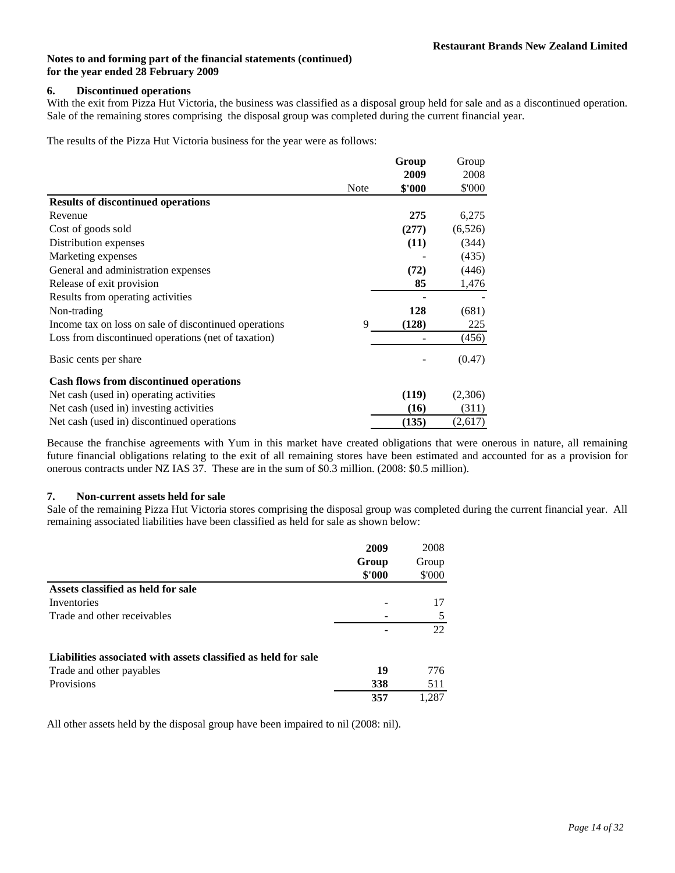# **6. Discontinued operations**

With the exit from Pizza Hut Victoria, the business was classified as a disposal group held for sale and as a discontinued operation. Sale of the remaining stores comprising the disposal group was completed during the current financial year.

The results of the Pizza Hut Victoria business for the year were as follows:

|                                                       |             | Group  | Group   |
|-------------------------------------------------------|-------------|--------|---------|
|                                                       |             | 2009   | 2008    |
|                                                       | <b>Note</b> | \$'000 | \$'000  |
| <b>Results of discontinued operations</b>             |             |        |         |
| Revenue                                               |             | 275    | 6,275   |
| Cost of goods sold                                    |             | (277)  | (6,526) |
| Distribution expenses                                 |             | (11)   | (344)   |
| Marketing expenses                                    |             |        | (435)   |
| General and administration expenses                   |             | (72)   | (446)   |
| Release of exit provision                             |             | 85     | 1,476   |
| Results from operating activities                     |             |        |         |
| Non-trading                                           |             | 128    | (681)   |
| Income tax on loss on sale of discontinued operations | 9           | (128)  | 225     |
| Loss from discontinued operations (net of taxation)   |             |        | (456)   |
| Basic cents per share                                 |             |        | (0.47)  |
| Cash flows from discontinued operations               |             |        |         |
| Net cash (used in) operating activities               |             | (119)  | (2,306) |
| Net cash (used in) investing activities               |             | (16)   | (311)   |
| Net cash (used in) discontinued operations            |             | (135)  | (2,617) |

Because the franchise agreements with Yum in this market have created obligations that were onerous in nature, all remaining future financial obligations relating to the exit of all remaining stores have been estimated and accounted for as a provision for onerous contracts under NZ IAS 37. These are in the sum of \$0.3 million. (2008: \$0.5 million).

# **7. Non-current assets held for sale**

Sale of the remaining Pizza Hut Victoria stores comprising the disposal group was completed during the current financial year. All remaining associated liabilities have been classified as held for sale as shown below:

|                                                                | 2009   | 2008            |
|----------------------------------------------------------------|--------|-----------------|
|                                                                | Group  | Group           |
|                                                                | \$'000 | \$'000          |
| Assets classified as held for sale                             |        |                 |
| Inventories                                                    |        |                 |
| Trade and other receivables                                    |        |                 |
|                                                                |        | 22              |
| Liabilities associated with assets classified as held for sale |        |                 |
| Trade and other nevebles                                       | 10     | 77 <sup>6</sup> |

| Trade and other payables | 19  | 776   |
|--------------------------|-----|-------|
| <b>Provisions</b>        | 338 | 511   |
|                          | 357 | 1.287 |

All other assets held by the disposal group have been impaired to nil (2008: nil).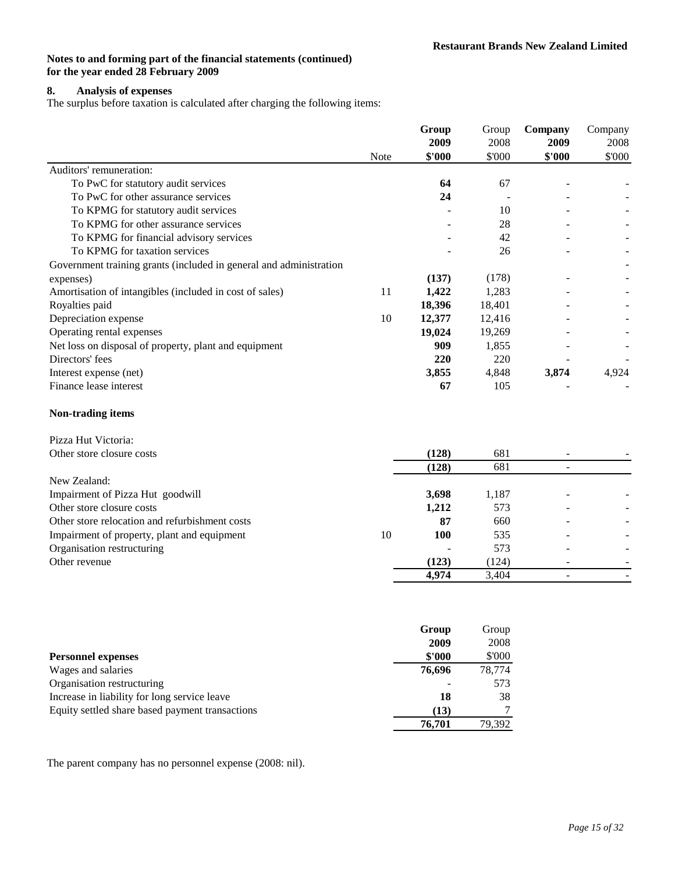# **8. Analysis of expenses**

The surplus before taxation is calculated after charging the following items:

|                                                                    |             | Group  | Group  | Company | Company |
|--------------------------------------------------------------------|-------------|--------|--------|---------|---------|
|                                                                    |             | 2009   | 2008   | 2009    | 2008    |
|                                                                    | <b>Note</b> | \$'000 | \$'000 | \$'000  | \$'000  |
| Auditors' remuneration:                                            |             |        |        |         |         |
| To PwC for statutory audit services                                |             | 64     | 67     |         |         |
| To PwC for other assurance services                                |             | 24     |        |         |         |
| To KPMG for statutory audit services                               |             |        | 10     |         |         |
| To KPMG for other assurance services                               |             |        | 28     |         |         |
| To KPMG for financial advisory services                            |             |        | 42     |         |         |
| To KPMG for taxation services                                      |             |        | 26     |         |         |
| Government training grants (included in general and administration |             |        |        |         |         |
| expenses)                                                          |             | (137)  | (178)  |         |         |
| Amortisation of intangibles (included in cost of sales)            | 11          | 1,422  | 1,283  |         |         |
| Royalties paid                                                     |             | 18,396 | 18,401 |         |         |
| Depreciation expense                                               | 10          | 12,377 | 12,416 |         |         |
| Operating rental expenses                                          |             | 19,024 | 19,269 |         |         |
| Net loss on disposal of property, plant and equipment              |             | 909    | 1,855  |         |         |
| Directors' fees                                                    |             | 220    | 220    |         |         |
| Interest expense (net)                                             |             | 3,855  | 4,848  | 3,874   | 4,924   |
| Finance lease interest                                             |             | 67     | 105    |         |         |

# **Non-trading items**

| Pizza Hut Victoria:                            |    |       |       |                          |  |
|------------------------------------------------|----|-------|-------|--------------------------|--|
| Other store closure costs                      |    | (128) | 681   |                          |  |
|                                                |    | (128) | 681   |                          |  |
| New Zealand:                                   |    |       |       |                          |  |
| Impairment of Pizza Hut goodwill               |    | 3,698 | 1.187 |                          |  |
| Other store closure costs                      |    | 1,212 | 573   | $\overline{\phantom{0}}$ |  |
| Other store relocation and refurbishment costs |    | 87    | 660   |                          |  |
| Impairment of property, plant and equipment    | 10 | 100   | 535   |                          |  |
| Organisation restructuring                     |    |       | 573   |                          |  |
| Other revenue                                  |    | (123) | (124) |                          |  |
|                                                |    | 4.974 | 3,404 |                          |  |

|                                                 | Group  | Group  |
|-------------------------------------------------|--------|--------|
|                                                 | 2009   | 2008   |
| <b>Personnel expenses</b>                       | \$'000 | \$'000 |
| Wages and salaries                              | 76,696 | 78,774 |
| Organisation restructuring                      |        | 573    |
| Increase in liability for long service leave    | 18     | 38     |
| Equity settled share based payment transactions | (13)   |        |
|                                                 | 76,701 | 79.392 |

The parent company has no personnel expense (2008: nil).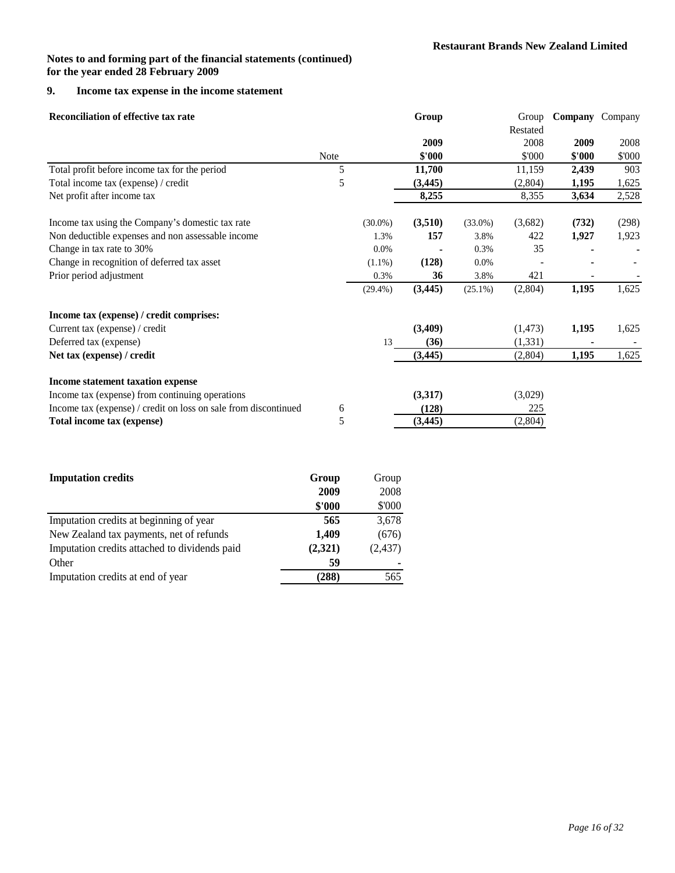# **9. Income tax expense in the income statement**

|      |            | Group    |            | Group    | Company Company |        |
|------|------------|----------|------------|----------|-----------------|--------|
|      |            |          |            | Restated |                 |        |
|      |            | 2009     |            | 2008     | 2009            | 2008   |
| Note |            | \$'000   |            | \$'000   | \$'000          | \$'000 |
| 5    |            | 11,700   |            | 11,159   | 2,439           | 903    |
| 5    |            | (3, 445) |            | (2,804)  | 1,195           | 1,625  |
|      |            | 8,255    |            | 8,355    | 3,634           | 2,528  |
|      | $(30.0\%)$ | (3,510)  | $(33.0\%)$ | (3,682)  | (732)           | (298)  |
|      | 1.3%       | 157      | 3.8%       | 422      | 1,927           | 1,923  |
|      | 0.0%       |          | 0.3%       | 35       |                 |        |
|      | $(1.1\%)$  | (128)    | 0.0%       |          |                 |        |
|      | 0.3%       | 36       | 3.8%       | 421      |                 |        |
|      | $(29.4\%)$ | (3, 445) | $(25.1\%)$ | (2,804)  | 1,195           | 1,625  |
|      |            |          |            |          |                 |        |
|      |            | (3,409)  |            | (1, 473) | 1,195           | 1,625  |
|      | 13         | (36)     |            | (1, 331) |                 |        |
|      |            | (3, 445) |            | (2,804)  | 1,195           | 1,625  |
|      |            |          |            |          |                 |        |
|      |            | (3,317)  |            | (3,029)  |                 |        |
| 6    |            | (128)    |            | 225      |                 |        |
| 5    |            | (3, 445) |            | (2,804)  |                 |        |
|      |            |          |            |          |                 |        |

| <b>Imputation credits</b>                     | Group   | Group   |  |
|-----------------------------------------------|---------|---------|--|
|                                               | 2009    | 2008    |  |
|                                               | \$'000  | \$'000  |  |
| Imputation credits at beginning of year       | 565     | 3,678   |  |
| New Zealand tax payments, net of refunds      | 1,409   | (676)   |  |
| Imputation credits attached to dividends paid | (2,321) | (2,437) |  |
| Other                                         | 59      |         |  |
| Imputation credits at end of year             | (288)   | 565     |  |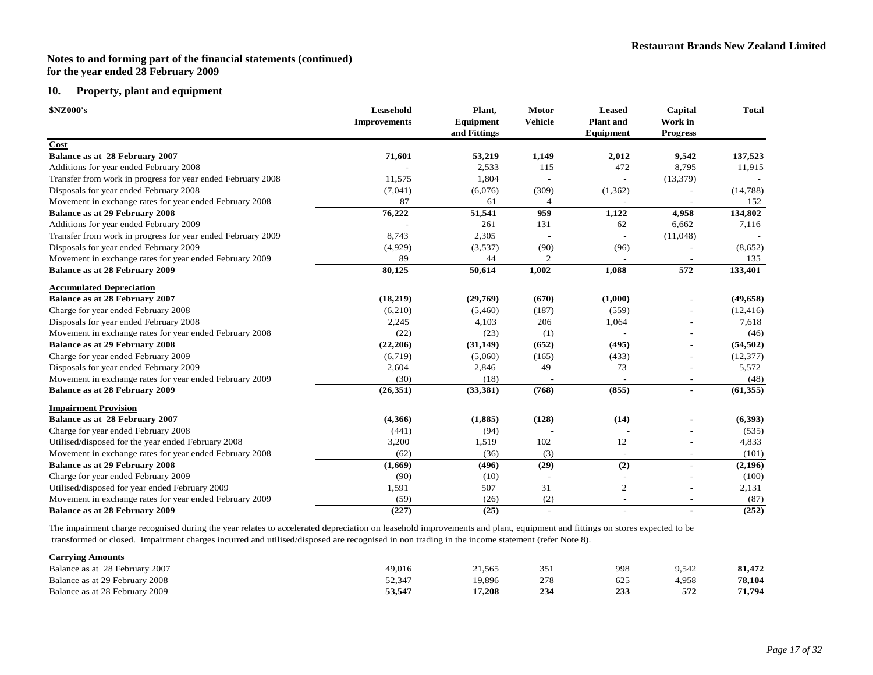### **10.Property, plant and equipment**

| <b>\$NZ000's</b>                                            | Leasehold<br><b>Improvements</b> | Plant,<br>Equipment | <b>Motor</b><br><b>Vehicle</b> | <b>Leased</b><br><b>Plant</b> and | Capital<br>Work in | <b>Total</b> |
|-------------------------------------------------------------|----------------------------------|---------------------|--------------------------------|-----------------------------------|--------------------|--------------|
|                                                             |                                  | and Fittings        |                                | Equipment                         | <b>Progress</b>    |              |
| Cost                                                        |                                  |                     |                                |                                   |                    |              |
| Balance as at 28 February 2007                              | 71,601                           | 53,219              | 1,149                          | 2,012                             | 9,542              | 137,523      |
| Additions for year ended February 2008                      |                                  | 2,533               | 115                            | 472                               | 8,795              | 11,915       |
| Transfer from work in progress for year ended February 2008 | 11,575                           | 1,804               |                                |                                   | (13, 379)          |              |
| Disposals for year ended February 2008                      | (7,041)                          | (6,076)             | (309)                          | (1, 362)                          |                    | (14,788)     |
| Movement in exchange rates for year ended February 2008     | 87                               | 61                  | $\overline{4}$                 |                                   |                    | 152          |
| <b>Balance as at 29 February 2008</b>                       | 76,222                           | 51,541              | 959                            | 1,122                             | 4,958              | 134,802      |
| Additions for year ended February 2009                      |                                  | 261                 | 131                            | 62                                | 6,662              | 7,116        |
| Transfer from work in progress for year ended February 2009 | 8,743                            | 2,305               |                                |                                   | (11,048)           |              |
| Disposals for year ended February 2009                      | (4,929)                          | (3,537)             | (90)                           | (96)                              |                    | (8,652)      |
| Movement in exchange rates for year ended February 2009     | 89                               | 44                  | $\overline{c}$                 |                                   |                    | 135          |
| Balance as at 28 February 2009                              | 80,125                           | 50,614              | 1,002                          | 1,088                             | 572                | 133,401      |
| <b>Accumulated Depreciation</b>                             |                                  |                     |                                |                                   |                    |              |
| <b>Balance as at 28 February 2007</b>                       | (18,219)                         | (29,769)            | (670)                          | (1,000)                           |                    | (49, 658)    |
| Charge for year ended February 2008                         | (6,210)                          | (5,460)             | (187)                          | (559)                             |                    | (12, 416)    |
| Disposals for year ended February 2008                      | 2,245                            | 4,103               | 206                            | 1,064                             |                    | 7,618        |
| Movement in exchange rates for year ended February 2008     | (22)                             | (23)                | (1)                            |                                   |                    | (46)         |
| <b>Balance as at 29 February 2008</b>                       | (22, 206)                        | (31, 149)           | (652)                          | (495)                             |                    | (54, 502)    |
| Charge for year ended February 2009                         | (6,719)                          | (5,060)             | (165)                          | (433)                             |                    | (12, 377)    |
| Disposals for year ended February 2009                      | 2,604                            | 2,846               | 49                             | 73                                |                    | 5,572        |
| Movement in exchange rates for year ended February 2009     | (30)                             | (18)                |                                |                                   |                    | (48)         |
| <b>Balance as at 28 February 2009</b>                       | (26, 351)                        | (33, 381)           | (768)                          | (855)                             |                    | (61, 355)    |
| <b>Impairment Provision</b>                                 |                                  |                     |                                |                                   |                    |              |
| Balance as at 28 February 2007                              | (4,366)                          | (1,885)             | (128)                          | (14)                              |                    | (6,393)      |
| Charge for year ended February 2008                         | (441)                            | (94)                |                                |                                   |                    | (535)        |
| Utilised/disposed for the year ended February 2008          | 3,200                            | 1,519               | 102                            | 12                                |                    | 4,833        |
| Movement in exchange rates for year ended February 2008     | (62)                             | (36)                | (3)                            |                                   |                    | (101)        |
| <b>Balance as at 29 February 2008</b>                       | (1,669)                          | (496)               | (29)                           | (2)                               |                    | (2,196)      |
| Charge for year ended February 2009                         | (90)                             | (10)                |                                |                                   |                    | (100)        |
| Utilised/disposed for year ended February 2009              | 1,591                            | 507                 | 31                             | 2                                 |                    | 2,131        |
| Movement in exchange rates for year ended February 2009     | (59)                             | (26)                | (2)                            |                                   |                    | (87)         |
| <b>Balance as at 28 February 2009</b>                       | (227)                            | (25)                | $\overline{\phantom{a}}$       |                                   |                    | (252)        |

The impairment charge recognised during the year relates to accelerated depreciation on leasehold improvements and plant, equipment and fittings on stores expected to be transformed or closed. Impairment charges incurred and utilised/disposed are recognised in non trading in the income statement (refer Note 8).

| <b>Carrving Amounts</b> |  |
|-------------------------|--|
|                         |  |

| Balance as at 28 February 2007 | 49,016 | 21.565 | 351 | 998 | 9.542 | 81,472 |
|--------------------------------|--------|--------|-----|-----|-------|--------|
| Balance as at 29 February 2008 | 52.347 | 19.896 | 278 | 625 | 4.958 | 78.104 |
| Balance as at 28 February 2009 | 53,547 | 17,208 | 234 | 233 | 572   | 71,794 |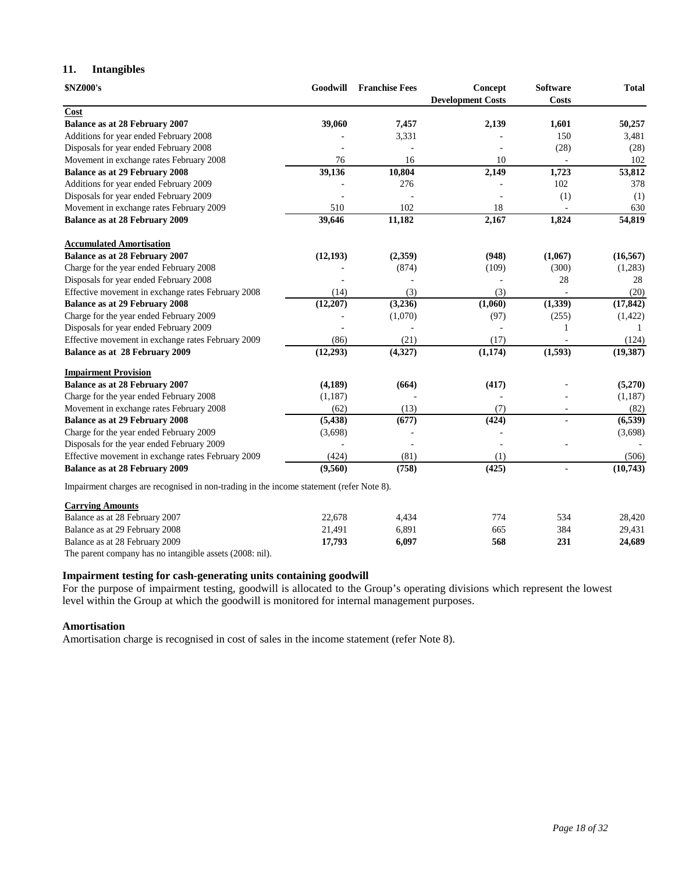# **11. Intangibles**

| <b>\$NZ000's</b>                                                                         | Goodwill  | <b>Franchise Fees</b> | Concept<br><b>Development Costs</b> | <b>Software</b><br><b>Costs</b> | <b>Total</b> |
|------------------------------------------------------------------------------------------|-----------|-----------------------|-------------------------------------|---------------------------------|--------------|
| Cost                                                                                     |           |                       |                                     |                                 |              |
| <b>Balance as at 28 February 2007</b>                                                    | 39,060    | 7,457                 | 2,139                               | 1,601                           | 50,257       |
| Additions for year ended February 2008                                                   |           | 3,331                 |                                     | 150                             | 3,481        |
| Disposals for year ended February 2008                                                   |           |                       |                                     | (28)                            | (28)         |
| Movement in exchange rates February 2008                                                 | 76        | 16                    | 10                                  | $\overline{a}$                  | 102          |
| Balance as at 29 February 2008                                                           | 39,136    | 10,804                | 2,149                               | 1,723                           | 53,812       |
| Additions for year ended February 2009                                                   |           | 276                   |                                     | 102                             | 378          |
| Disposals for year ended February 2009                                                   |           |                       |                                     | (1)                             | (1)          |
| Movement in exchange rates February 2009                                                 | 510       | 102                   | 18                                  |                                 | 630          |
| <b>Balance as at 28 February 2009</b>                                                    | 39,646    | 11,182                | 2,167                               | 1,824                           | 54,819       |
| <b>Accumulated Amortisation</b>                                                          |           |                       |                                     |                                 |              |
| <b>Balance as at 28 February 2007</b>                                                    | (12, 193) | (2,359)               | (948)                               | (1,067)                         | (16, 567)    |
| Charge for the year ended February 2008                                                  |           | (874)                 | (109)                               | (300)                           | (1,283)      |
| Disposals for year ended February 2008                                                   |           |                       |                                     | 28                              | 28           |
| Effective movement in exchange rates February 2008                                       | (14)      | (3)                   | (3)                                 |                                 | (20)         |
| <b>Balance as at 29 February 2008</b>                                                    | (12, 207) | (3,236)               | (1,060)                             | (1, 339)                        | (17, 842)    |
| Charge for the year ended February 2009                                                  |           | (1,070)               | (97)                                | (255)                           | (1, 422)     |
| Disposals for year ended February 2009                                                   |           |                       |                                     | 1                               | 1            |
| Effective movement in exchange rates February 2009                                       | (86)      | (21)                  | (17)                                |                                 | (124)        |
| Balance as at 28 February 2009                                                           | (12, 293) | (4,327)               | (1, 174)                            | (1, 593)                        | (19, 387)    |
| <b>Impairment Provision</b>                                                              |           |                       |                                     |                                 |              |
| <b>Balance as at 28 February 2007</b>                                                    | (4, 189)  | (664)                 | (417)                               |                                 | (5,270)      |
| Charge for the year ended February 2008                                                  | (1, 187)  |                       |                                     |                                 | (1,187)      |
| Movement in exchange rates February 2008                                                 | (62)      | (13)                  | (7)                                 |                                 | (82)         |
| <b>Balance as at 29 February 2008</b>                                                    | (5, 438)  | (677)                 | (424)                               | $\overline{a}$                  | (6, 539)     |
| Charge for the year ended February 2009                                                  | (3,698)   |                       |                                     |                                 | (3,698)      |
| Disposals for the year ended February 2009                                               |           |                       |                                     |                                 |              |
| Effective movement in exchange rates February 2009                                       | (424)     | (81)                  | (1)                                 |                                 | (506)        |
| <b>Balance as at 28 February 2009</b>                                                    | (9,560)   | (758)                 | (425)                               | $\equiv$                        | (10, 743)    |
| Impairment charges are recognised in non-trading in the income statement (refer Note 8). |           |                       |                                     |                                 |              |
| <b>Carrying Amounts</b>                                                                  |           |                       |                                     |                                 |              |
| Balance as at 28 February 2007                                                           | 22,678    | 4,434                 | 774                                 | 534                             | 28,420       |
| Balance as at 29 February 2008                                                           | 21,491    | 6,891                 | 665                                 | 384                             | 29,431       |
| Balance as at 28 February 2009                                                           | 17,793    | 6,097                 | 568                                 | 231                             | 24,689       |
| The parent company has no intangible assets (2008: nil).                                 |           |                       |                                     |                                 |              |

# **Impairment testing for cash-generating units containing goodwill**

For the purpose of impairment testing, goodwill is allocated to the Group's operating divisions which represent the lowest level within the Group at which the goodwill is monitored for internal management purposes.

# **Amortisation**

Amortisation charge is recognised in cost of sales in the income statement (refer Note 8).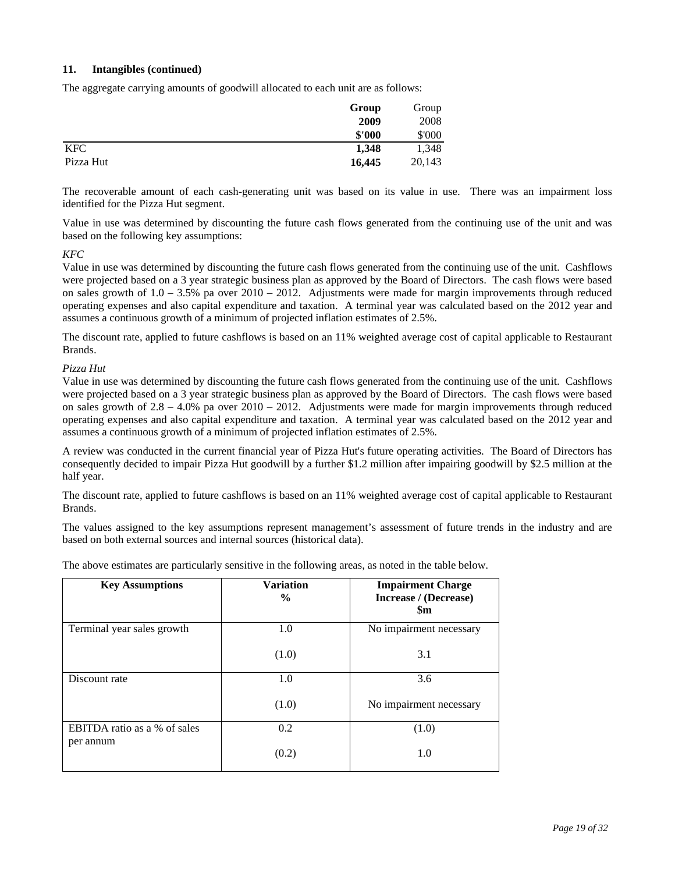# **11. Intangibles (continued)**

The aggregate carrying amounts of goodwill allocated to each unit are as follows:

|            | Group  | Group  |
|------------|--------|--------|
|            | 2009   | 2008   |
|            | \$'000 | \$'000 |
| <b>KFC</b> | 1,348  | 1,348  |
| Pizza Hut  | 16,445 | 20,143 |

The recoverable amount of each cash-generating unit was based on its value in use. There was an impairment loss identified for the Pizza Hut segment.

Value in use was determined by discounting the future cash flows generated from the continuing use of the unit and was based on the following key assumptions:

# *KFC*

Value in use was determined by discounting the future cash flows generated from the continuing use of the unit. Cashflows were projected based on a 3 year strategic business plan as approved by the Board of Directors. The cash flows were based on sales growth of  $1.0 - 3.5\%$  pa over  $2010 - 2012$ . Adjustments were made for margin improvements through reduced operating expenses and also capital expenditure and taxation. A terminal year was calculated based on the 2012 year and assumes a continuous growth of a minimum of projected inflation estimates of 2.5%.

The discount rate, applied to future cashflows is based on an 11% weighted average cost of capital applicable to Restaurant Brands.

# *Pizza Hut*

Value in use was determined by discounting the future cash flows generated from the continuing use of the unit. Cashflows were projected based on a 3 year strategic business plan as approved by the Board of Directors. The cash flows were based on sales growth of  $2.8 - 4.0\%$  pa over  $2010 - 2012$ . Adjustments were made for margin improvements through reduced operating expenses and also capital expenditure and taxation. A terminal year was calculated based on the 2012 year and assumes a continuous growth of a minimum of projected inflation estimates of 2.5%.

A review was conducted in the current financial year of Pizza Hut's future operating activities. The Board of Directors has consequently decided to impair Pizza Hut goodwill by a further \$1.2 million after impairing goodwill by \$2.5 million at the half year.

The discount rate, applied to future cashflows is based on an 11% weighted average cost of capital applicable to Restaurant Brands.

The values assigned to the key assumptions represent management's assessment of future trends in the industry and are based on both external sources and internal sources (historical data).

The above estimates are particularly sensitive in the following areas, as noted in the table below.

| <b>Key Assumptions</b>                    | <b>Variation</b><br>$\%$ | <b>Impairment Charge</b><br>Increase / (Decrease)<br>$\mathbf{\$m}$ |
|-------------------------------------------|--------------------------|---------------------------------------------------------------------|
| Terminal year sales growth                | 1.0                      | No impairment necessary                                             |
|                                           | (1.0)                    | 3.1                                                                 |
| Discount rate                             | 1.0                      | 3.6                                                                 |
|                                           | (1.0)                    | No impairment necessary                                             |
| EBITDA ratio as a % of sales<br>per annum | 0.2                      | (1.0)                                                               |
|                                           | (0.2)                    | 1.0                                                                 |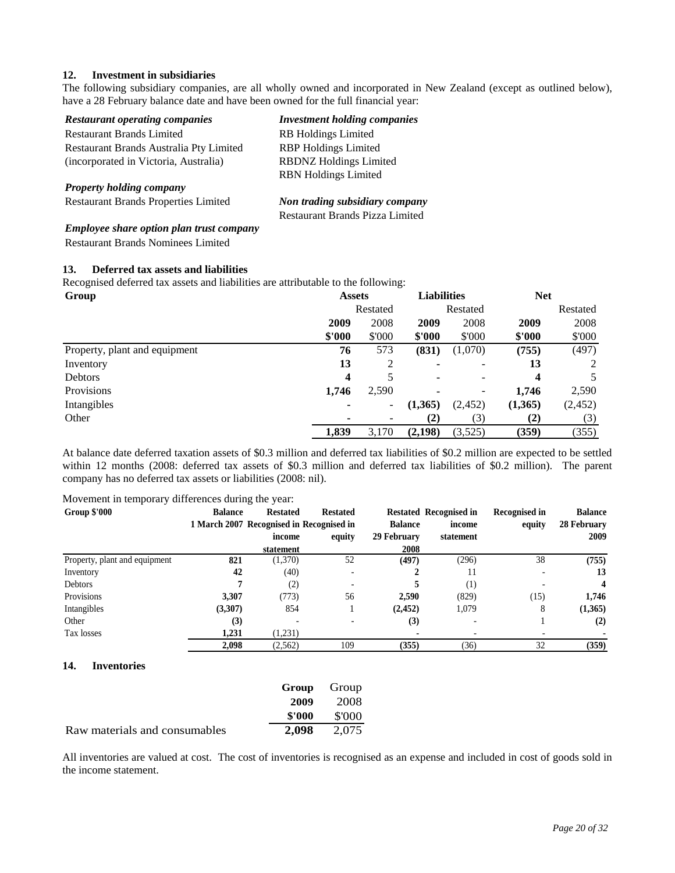# **12. Investment in subsidiaries**

The following subsidiary companies, are all wholly owned and incorporated in New Zealand (except as outlined below), have a 28 February balance date and have been owned for the full financial year:

| <b>Restaurant operating companies</b>   | <b>Investment holding companies</b> |
|-----------------------------------------|-------------------------------------|
| <b>Restaurant Brands Limited</b>        | <b>RB</b> Holdings Limited          |
| Restaurant Brands Australia Pty Limited | <b>RBP</b> Holdings Limited         |
| (incorporated in Victoria, Australia)   | <b>RBDNZ</b> Holdings Limited       |
|                                         | <b>RBN</b> Holdings Limited         |
|                                         |                                     |

### *Property holding company*

Restaurant Brands Properties Limited *Non trading subsidiary company*

Restaurant Brands Pizza Limited

*Employee share option plan trust company*

Restaurant Brands Nominees Limited

# **13. Deferred tax assets and liabilities**

Recognised deferred tax assets and liabilities are attributable to the following:

| Group                         |        | <b>Assets</b>            |         |                              | <b>Net</b> |          |
|-------------------------------|--------|--------------------------|---------|------------------------------|------------|----------|
|                               |        | Restated                 |         | Restated                     |            | Restated |
|                               | 2009   | 2008                     | 2009    | 2008                         | 2009       | 2008     |
|                               | \$'000 | \$'000                   | \$'000  | \$'000                       | \$'000     | \$'000   |
| Property, plant and equipment | 76     | 573                      | (831)   | (1,070)                      | (755)      | (497)    |
| Inventory                     | 13     | 2                        |         | $\overline{\phantom{a}}$     | 13         |          |
| Debtors                       | 4      | 5                        | ۰       | $\qquad \qquad \blacksquare$ | 4          |          |
| Provisions                    | 1,746  | 2,590                    |         | $\overline{\phantom{a}}$     | 1,746      | 2,590    |
| Intangibles                   |        | $\overline{\phantom{a}}$ | (1,365) | (2, 452)                     | (1,365)    | (2, 452) |
| Other                         |        |                          | (2)     | (3)                          | $\bf(2)$   | (3)      |
|                               | 1,839  | 3,170                    | (2,198) | (3,525)                      | (359)      | (355)    |

At balance date deferred taxation assets of \$0.3 million and deferred tax liabilities of \$0.2 million are expected to be settled within 12 months (2008: deferred tax assets of \$0.3 million and deferred tax liabilities of \$0.2 million). The parent company has no deferred tax assets or liabilities (2008: nil).

Movement in temporary differences during the year:

| Group \$'000                  | <b>Balance</b><br>1 March 2007 Recognised in Recognised in | <b>Restated</b> | <b>Restated</b> | <b>Balance</b> | <b>Restated Recognised in</b><br>income | <b>Recognised in</b><br>equity | <b>Balance</b><br>28 February |
|-------------------------------|------------------------------------------------------------|-----------------|-----------------|----------------|-----------------------------------------|--------------------------------|-------------------------------|
|                               |                                                            | income          | equity          | 29 February    | statement                               |                                | 2009                          |
|                               |                                                            | statement       |                 | 2008           |                                         |                                |                               |
| Property, plant and equipment | 821                                                        | (1,370)         | 52              | (497)          | (296)                                   | 38                             | (755)                         |
| Inventory                     | 42                                                         | (40)            |                 |                | 11                                      |                                | 13                            |
| <b>Debtors</b>                |                                                            | (2)             |                 |                | (1)                                     |                                |                               |
| Provisions                    | 3,307                                                      | (773)           | 56              | 2,590          | (829)                                   | (15)                           | 1,746                         |
| Intangibles                   | (3,307)                                                    | 854             |                 | (2, 452)       | 1,079                                   | 8                              | (1,365)                       |
| Other                         | (3)                                                        |                 |                 | (3)            |                                         |                                | (2)                           |
| Tax losses                    | 1.231                                                      | (1,231)         |                 |                |                                         |                                |                               |
|                               | 2,098                                                      | (2,562)         | 109             | (355)          | (36)                                    | 32                             | (359)                         |

# **14. Inventories**

|                               | <b>Group</b> Group |        |
|-------------------------------|--------------------|--------|
|                               | 2009               | 2008   |
|                               | \$'000             | \$'000 |
| Raw materials and consumables | 2.098              | 2.075  |

All inventories are valued at cost. The cost of inventories is recognised as an expense and included in cost of goods sold in the income statement.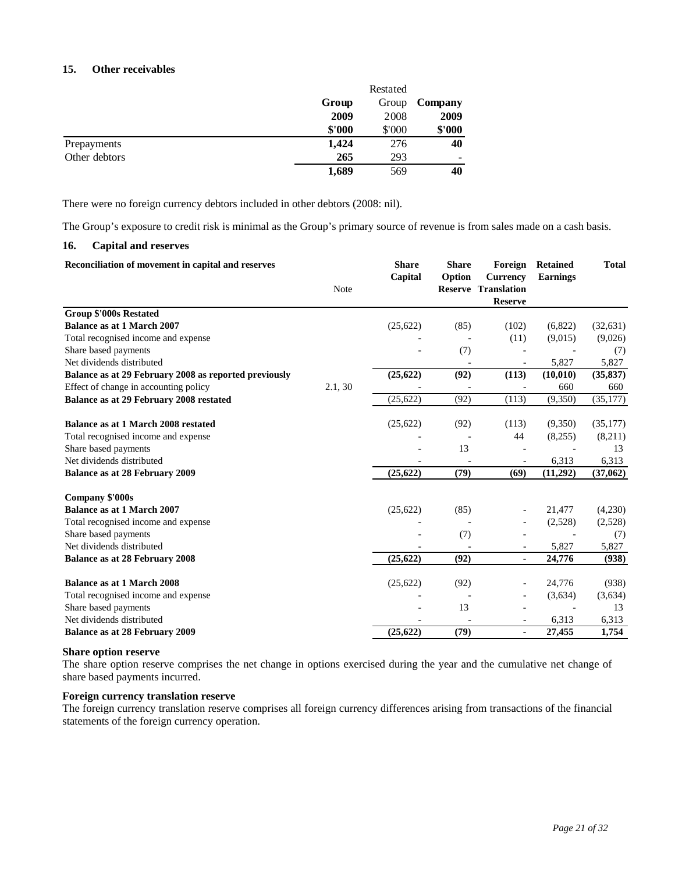# **15. Other receivables**

|               |        | Restated |         |  |  |
|---------------|--------|----------|---------|--|--|
|               | Group  | Group    | Company |  |  |
|               | 2009   | 2008     | 2009    |  |  |
|               | \$'000 | \$'000   | \$'000  |  |  |
| Prepayments   | 1,424  | 276      | 40      |  |  |
| Other debtors | 265    | 293      | ٠       |  |  |
|               | 1,689  | 569      | 40      |  |  |

There were no foreign currency debtors included in other debtors (2008: nil).

The Group's exposure to credit risk is minimal as the Group's primary source of revenue is from sales made on a cash basis.

# **16. Capital and reserves**

| Reconciliation of movement in capital and reserves    |             | <b>Share</b><br>Capital | <b>Share</b><br>Option | Foreign<br><b>Currency</b>                   | <b>Retained</b><br><b>Earnings</b> | <b>Total</b> |
|-------------------------------------------------------|-------------|-------------------------|------------------------|----------------------------------------------|------------------------------------|--------------|
|                                                       | <b>Note</b> |                         |                        | <b>Reserve Translation</b><br><b>Reserve</b> |                                    |              |
| <b>Group \$'000s Restated</b>                         |             |                         |                        |                                              |                                    |              |
| <b>Balance as at 1 March 2007</b>                     |             | (25, 622)               | (85)                   | (102)                                        | (6,822)                            | (32, 631)    |
| Total recognised income and expense                   |             |                         |                        | (11)                                         | (9,015)                            | (9,026)      |
| Share based payments                                  |             |                         | (7)                    |                                              |                                    | (7)          |
| Net dividends distributed                             |             |                         |                        |                                              | 5,827                              | 5,827        |
| Balance as at 29 February 2008 as reported previously |             | (25, 622)               | (92)                   | (113)                                        | (10, 010)                          | (35, 837)    |
| Effect of change in accounting policy                 | 2.1, 30     |                         |                        |                                              | 660                                | 660          |
| Balance as at 29 February 2008 restated               |             | (25, 622)               | (92)                   | (113)                                        | (9,350)                            | (35, 177)    |
| Balance as at 1 March 2008 restated                   |             | (25, 622)               | (92)                   | (113)                                        | (9,350)                            | (35,177)     |
| Total recognised income and expense                   |             |                         |                        | 44                                           | (8,255)                            | (8,211)      |
| Share based payments                                  |             |                         | 13                     |                                              |                                    | 13           |
| Net dividends distributed                             |             |                         |                        |                                              | 6,313                              | 6,313        |
| <b>Balance as at 28 February 2009</b>                 |             | (25, 622)               | (79)                   | (69)                                         | (11,292)                           | (37,062)     |
| Company \$'000s                                       |             |                         |                        |                                              |                                    |              |
| <b>Balance as at 1 March 2007</b>                     |             | (25, 622)               | (85)                   |                                              | 21,477                             | (4,230)      |
| Total recognised income and expense                   |             |                         |                        |                                              | (2,528)                            | (2,528)      |
| Share based payments                                  |             |                         | (7)                    |                                              |                                    | (7)          |
| Net dividends distributed                             |             |                         |                        |                                              | 5,827                              | 5,827        |
| <b>Balance as at 28 February 2008</b>                 |             | (25, 622)               | (92)                   | $\overline{a}$                               | 24,776                             | (938)        |
| <b>Balance as at 1 March 2008</b>                     |             | (25, 622)               | (92)                   |                                              | 24,776                             | (938)        |
| Total recognised income and expense                   |             |                         |                        | $\overline{\phantom{0}}$                     | (3,634)                            | (3,634)      |
| Share based payments                                  |             |                         | 13                     |                                              |                                    | 13           |
| Net dividends distributed                             |             |                         |                        |                                              | 6,313                              | 6,313        |
| <b>Balance as at 28 February 2009</b>                 |             | (25, 622)               | (79)                   | ٠                                            | 27,455                             | 1,754        |

### **Share option reserve**

The share option reserve comprises the net change in options exercised during the year and the cumulative net change of share based payments incurred.

# **Foreign currency translation reserve**

The foreign currency translation reserve comprises all foreign currency differences arising from transactions of the financial statements of the foreign currency operation.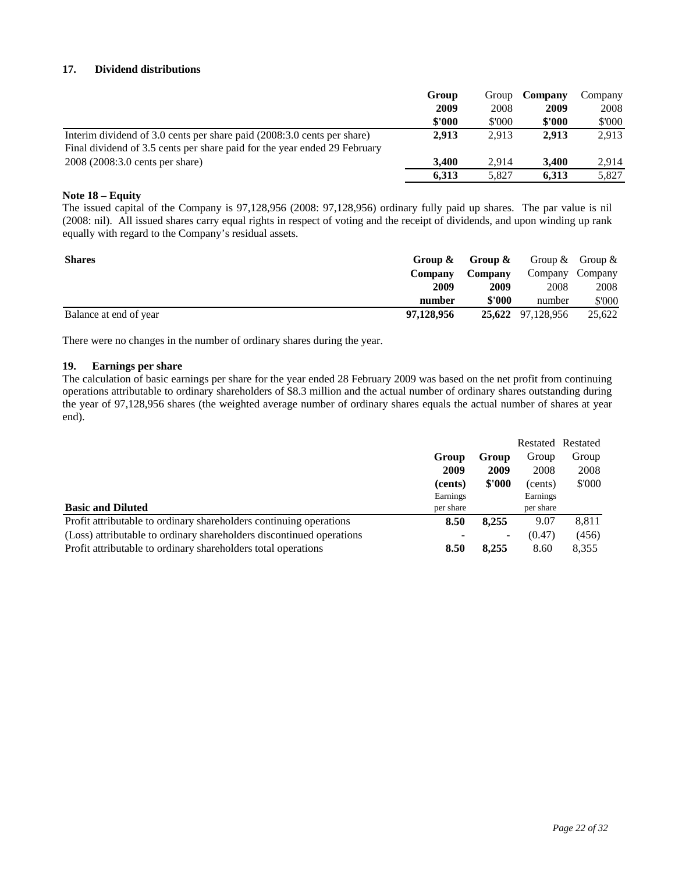# **17. Dividend distributions**

|                                                                           | Group  | Group  | Company | Company |
|---------------------------------------------------------------------------|--------|--------|---------|---------|
|                                                                           | 2009   | 2008   | 2009    | 2008    |
|                                                                           | \$'000 | \$'000 | \$'000  | \$'000  |
| Interim dividend of 3.0 cents per share paid (2008:3.0 cents per share)   | 2.913  | 2,913  | 2.913   | 2.913   |
| Final dividend of 3.5 cents per share paid for the year ended 29 February |        |        |         |         |
| 2008 (2008:3.0 cents per share)                                           | 3.400  | 2.914  | 3.400   | 2.914   |
|                                                                           | 6,313  | 5.827  | 6,313   | 5.827   |

# **Note 18 – Equity**

The issued capital of the Company is 97,128,956 (2008: 97,128,956) ordinary fully paid up shares. The par value is nil (2008: nil). All issued shares carry equal rights in respect of voting and the receipt of dividends, and upon winding up rank equally with regard to the Company's residual assets.

| <b>Shares</b>          | Group &    | Group & |                   | Group $\&$ Group $\&$ |
|------------------------|------------|---------|-------------------|-----------------------|
|                        | Company    | Company |                   | Company Company       |
|                        | 2009       | 2009    | 2008              | 2008                  |
|                        | number     | \$'000  | number            | \$'000                |
| Balance at end of year | 97,128,956 |         | 25,622 97,128,956 | 25.622                |

There were no changes in the number of ordinary shares during the year.

# **19. Earnings per share**

The calculation of basic earnings per share for the year ended 28 February 2009 was based on the net profit from continuing operations attributable to ordinary shareholders of \$8.3 million and the actual number of ordinary shares outstanding during the year of 97,128,956 shares (the weighted average number of ordinary shares equals the actual number of shares at year end).

|                                                                      |           |        |           | Restated Restated |
|----------------------------------------------------------------------|-----------|--------|-----------|-------------------|
|                                                                      | Group     | Group  | Group     | Group             |
|                                                                      | 2009      | 2009   | 2008      | 2008              |
|                                                                      | (cents)   | \$'000 | (cents)   | \$'000            |
|                                                                      | Earnings  |        | Earnings  |                   |
| <b>Basic and Diluted</b>                                             | per share |        | per share |                   |
| Profit attributable to ordinary shareholders continuing operations   | 8.50      | 8.255  | 9.07      | 8,811             |
| (Loss) attributable to ordinary shareholders discontinued operations |           | ۰      | (0.47)    | (456)             |
| Profit attributable to ordinary shareholders total operations        | 8.50      | 8.255  | 8.60      | 8,355             |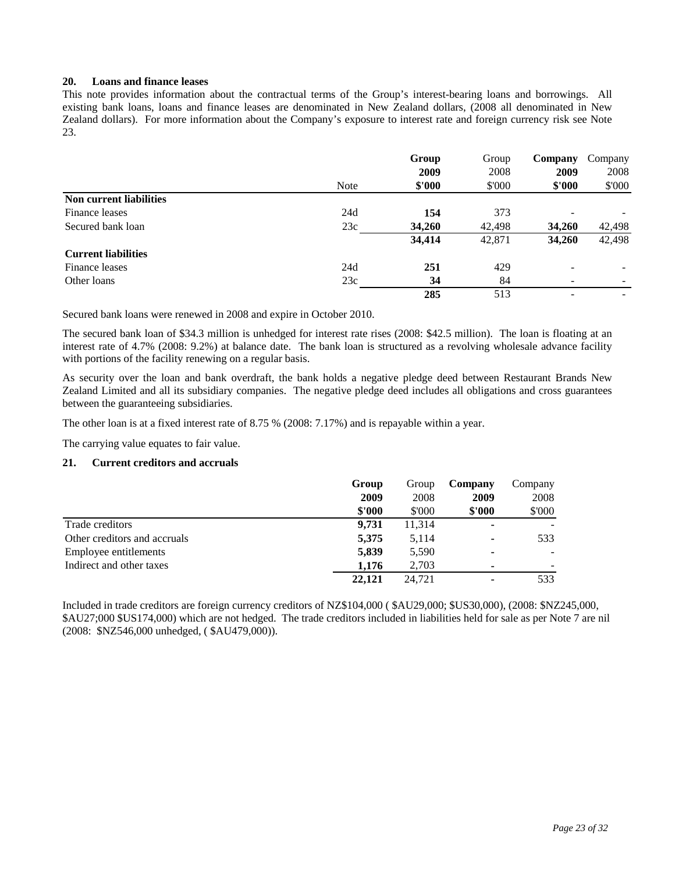# **20. Loans and finance leases**

This note provides information about the contractual terms of the Group's interest-bearing loans and borrowings. All existing bank loans, loans and finance leases are denominated in New Zealand dollars, (2008 all denominated in New Zealand dollars). For more information about the Company's exposure to interest rate and foreign currency risk see Note 23.

|                                |             | Group  | Group  | Company | Company |
|--------------------------------|-------------|--------|--------|---------|---------|
|                                |             | 2009   | 2008   | 2009    | 2008    |
|                                | <b>Note</b> | \$'000 | \$'000 | \$'000  | \$'000  |
| <b>Non current liabilities</b> |             |        |        |         |         |
| Finance leases                 | 24d         | 154    | 373    |         |         |
| Secured bank loan              | 23c         | 34,260 | 42,498 | 34,260  | 42,498  |
|                                |             | 34,414 | 42,871 | 34,260  | 42,498  |
| <b>Current liabilities</b>     |             |        |        |         |         |
| Finance leases                 | 24d         | 251    | 429    |         |         |
| Other loans                    | 23c         | 34     | 84     |         |         |
|                                |             | 285    | 513    |         |         |

Secured bank loans were renewed in 2008 and expire in October 2010.

The secured bank loan of \$34.3 million is unhedged for interest rate rises (2008: \$42.5 million). The loan is floating at an interest rate of 4.7% (2008: 9.2%) at balance date. The bank loan is structured as a revolving wholesale advance facility with portions of the facility renewing on a regular basis.

As security over the loan and bank overdraft, the bank holds a negative pledge deed between Restaurant Brands New Zealand Limited and all its subsidiary companies. The negative pledge deed includes all obligations and cross guarantees between the guaranteeing subsidiaries.

The other loan is at a fixed interest rate of 8.75 % (2008: 7.17%) and is repayable within a year.

The carrying value equates to fair value.

# **21. Current creditors and accruals**

|                              | Group  | Group  | Company | Company |
|------------------------------|--------|--------|---------|---------|
|                              | 2009   | 2008   | 2009    | 2008    |
|                              | \$'000 | \$'000 | \$'000  | \$'000  |
| Trade creditors              | 9.731  | 11,314 |         |         |
| Other creditors and accruals | 5,375  | 5,114  | ۰       | 533     |
| Employee entitlements        | 5,839  | 5,590  |         |         |
| Indirect and other taxes     | 1.176  | 2.703  | ۰       |         |
|                              | 22,121 | 24.721 |         | 533     |

Included in trade creditors are foreign currency creditors of NZ\$104,000 ( \$AU29,000; \$US30,000), (2008: \$NZ245,000, \$AU27;000 \$US174,000) which are not hedged. The trade creditors included in liabilities held for sale as per Note 7 are nil (2008: \$NZ546,000 unhedged, ( \$AU479,000)).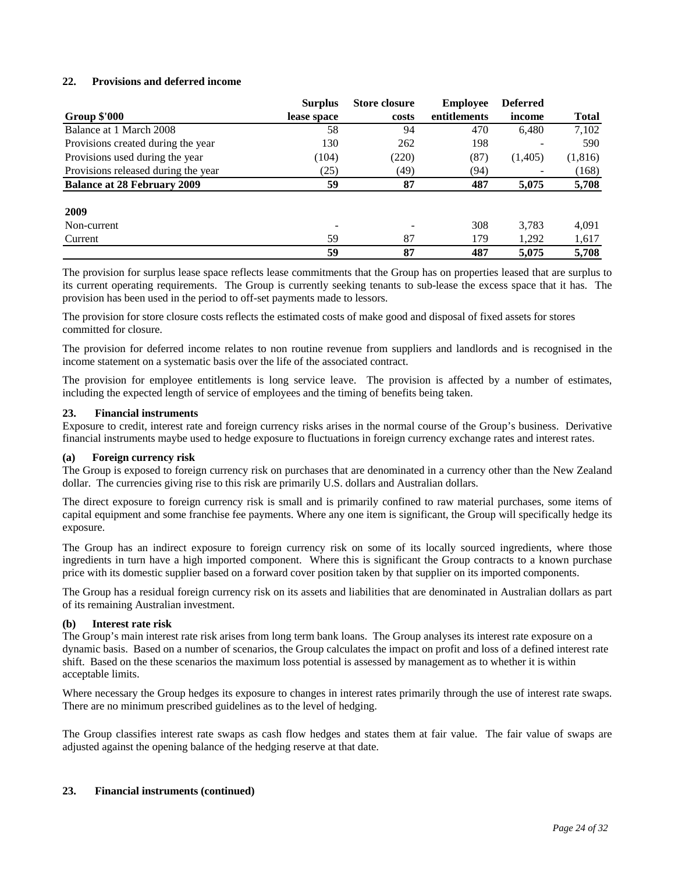# **22. Provisions and deferred income**

|                                     | <b>Surplus</b> | <b>Store closure</b> | <b>Employee</b> | <b>Deferred</b> |              |
|-------------------------------------|----------------|----------------------|-----------------|-----------------|--------------|
| Group \$'000                        | lease space    | costs                | entitlements    | income          | <b>Total</b> |
| Balance at 1 March 2008             | 58             | 94                   | 470             | 6,480           | 7,102        |
| Provisions created during the year  | 130            | 262                  | 198             |                 | 590          |
| Provisions used during the year     | (104)          | (220)                | (87)            | (1,405)         | (1, 816)     |
| Provisions released during the year | (25)           | (49)                 | (94)            |                 | (168)        |
| <b>Balance at 28 February 2009</b>  | 59             | 87                   | 487             | 5,075           | 5,708        |
| 2009                                |                |                      |                 |                 |              |
| Non-current                         |                |                      | 308             | 3,783           | 4,091        |
| Current                             | 59             | 87                   | 179             | 1,292           | 1,617        |
|                                     | 59             | 87                   | 487             | 5.075           | 5,708        |

The provision for surplus lease space reflects lease commitments that the Group has on properties leased that are surplus to its current operating requirements. The Group is currently seeking tenants to sub-lease the excess space that it has. The provision has been used in the period to off-set payments made to lessors.

The provision for store closure costs reflects the estimated costs of make good and disposal of fixed assets for stores committed for closure.

The provision for deferred income relates to non routine revenue from suppliers and landlords and is recognised in the income statement on a systematic basis over the life of the associated contract.

The provision for employee entitlements is long service leave. The provision is affected by a number of estimates, including the expected length of service of employees and the timing of benefits being taken.

# **23. Financial instruments**

Exposure to credit, interest rate and foreign currency risks arises in the normal course of the Group's business. Derivative financial instruments maybe used to hedge exposure to fluctuations in foreign currency exchange rates and interest rates.

# **(a) Foreign currency risk**

The Group is exposed to foreign currency risk on purchases that are denominated in a currency other than the New Zealand dollar. The currencies giving rise to this risk are primarily U.S. dollars and Australian dollars.

The direct exposure to foreign currency risk is small and is primarily confined to raw material purchases, some items of capital equipment and some franchise fee payments. Where any one item is significant, the Group will specifically hedge its exposure.

The Group has an indirect exposure to foreign currency risk on some of its locally sourced ingredients, where those ingredients in turn have a high imported component. Where this is significant the Group contracts to a known purchase price with its domestic supplier based on a forward cover position taken by that supplier on its imported components.

The Group has a residual foreign currency risk on its assets and liabilities that are denominated in Australian dollars as part of its remaining Australian investment.

# **(b) Interest rate risk**

The Group's main interest rate risk arises from long term bank loans. The Group analyses its interest rate exposure on a dynamic basis. Based on a number of scenarios, the Group calculates the impact on profit and loss of a defined interest rate shift. Based on the these scenarios the maximum loss potential is assessed by management as to whether it is within acceptable limits.

Where necessary the Group hedges its exposure to changes in interest rates primarily through the use of interest rate swaps. There are no minimum prescribed guidelines as to the level of hedging.

The Group classifies interest rate swaps as cash flow hedges and states them at fair value. The fair value of swaps are adjusted against the opening balance of the hedging reserve at that date.

# **23. Financial instruments (continued)**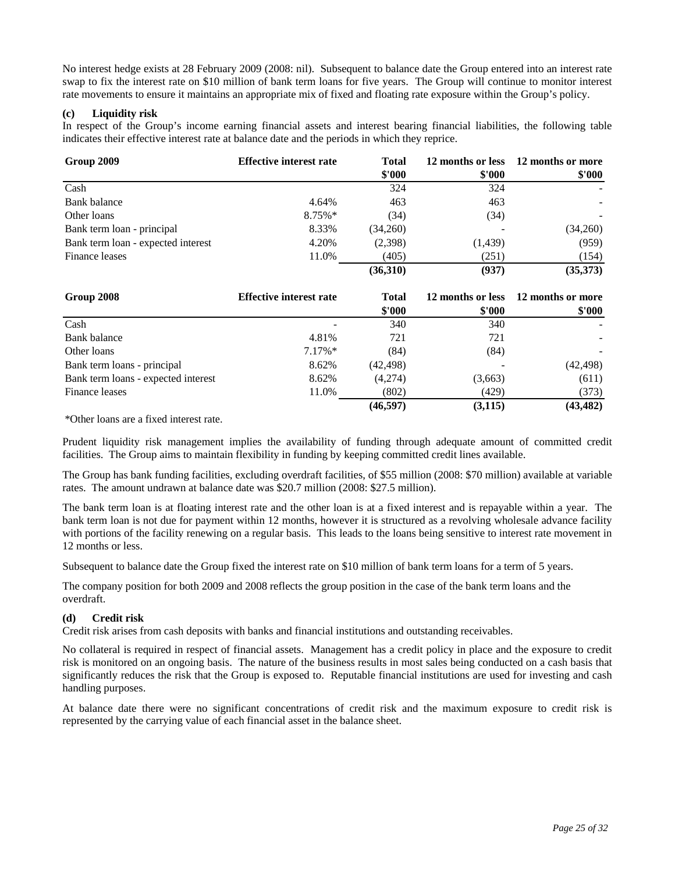No interest hedge exists at 28 February 2009 (2008: nil). Subsequent to balance date the Group entered into an interest rate swap to fix the interest rate on \$10 million of bank term loans for five years. The Group will continue to monitor interest rate movements to ensure it maintains an appropriate mix of fixed and floating rate exposure within the Group's policy.

# **(c) Liquidity risk**

In respect of the Group's income earning financial assets and interest bearing financial liabilities, the following table indicates their effective interest rate at balance date and the periods in which they reprice.

| Group 2009                         | <b>Effective interest rate</b> | <b>Total</b> | 12 months or less        | 12 months or more |
|------------------------------------|--------------------------------|--------------|--------------------------|-------------------|
|                                    |                                | \$'000       | \$'000                   | \$'000            |
| Cash                               |                                | 324          | 324                      |                   |
| Bank balance                       | 4.64%                          | 463          | 463                      |                   |
| Other loans                        | $8.75\%*$                      | (34)         | (34)                     |                   |
| Bank term loan - principal         | 8.33%                          | (34,260)     | $\overline{\phantom{0}}$ | (34,260)          |
| Bank term loan - expected interest | 4.20%                          | (2,398)      | (1, 439)                 | (959)             |
| Finance leases                     | 11.0%                          | (405)        | (251)                    | (154)             |
|                                    |                                | (36,310)     | (937)                    | (35,373)          |

| Group 2008                          | <b>Effective interest rate</b> | <b>Total</b><br>\$'000 | \$'000   | 12 months or less 12 months or more<br>\$'000 |
|-------------------------------------|--------------------------------|------------------------|----------|-----------------------------------------------|
| Cash                                |                                | 340                    | 340      |                                               |
| Bank balance                        | 4.81%                          | 721                    | 721      |                                               |
| Other loans                         | $7.17\%*$                      | (84)                   | (84)     |                                               |
| Bank term loans - principal         | 8.62%                          | (42, 498)              |          | (42, 498)                                     |
| Bank term loans - expected interest | 8.62%                          | (4,274)                | (3,663)  | (611)                                         |
| Finance leases                      | 11.0%                          | (802)                  | (429)    | (373)                                         |
|                                     |                                | (46, 597)              | (3, 115) | (43, 482)                                     |

\*Other loans are a fixed interest rate.

Prudent liquidity risk management implies the availability of funding through adequate amount of committed credit facilities. The Group aims to maintain flexibility in funding by keeping committed credit lines available.

The Group has bank funding facilities, excluding overdraft facilities, of \$55 million (2008: \$70 million) available at variable rates. The amount undrawn at balance date was \$20.7 million (2008: \$27.5 million).

The bank term loan is at floating interest rate and the other loan is at a fixed interest and is repayable within a year. The bank term loan is not due for payment within 12 months, however it is structured as a revolving wholesale advance facility with portions of the facility renewing on a regular basis. This leads to the loans being sensitive to interest rate movement in 12 months or less.

Subsequent to balance date the Group fixed the interest rate on \$10 million of bank term loans for a term of 5 years.

The company position for both 2009 and 2008 reflects the group position in the case of the bank term loans and the overdraft.

# **(d) Credit risk**

Credit risk arises from cash deposits with banks and financial institutions and outstanding receivables.

No collateral is required in respect of financial assets. Management has a credit policy in place and the exposure to credit risk is monitored on an ongoing basis. The nature of the business results in most sales being conducted on a cash basis that significantly reduces the risk that the Group is exposed to. Reputable financial institutions are used for investing and cash handling purposes.

At balance date there were no significant concentrations of credit risk and the maximum exposure to credit risk is represented by the carrying value of each financial asset in the balance sheet.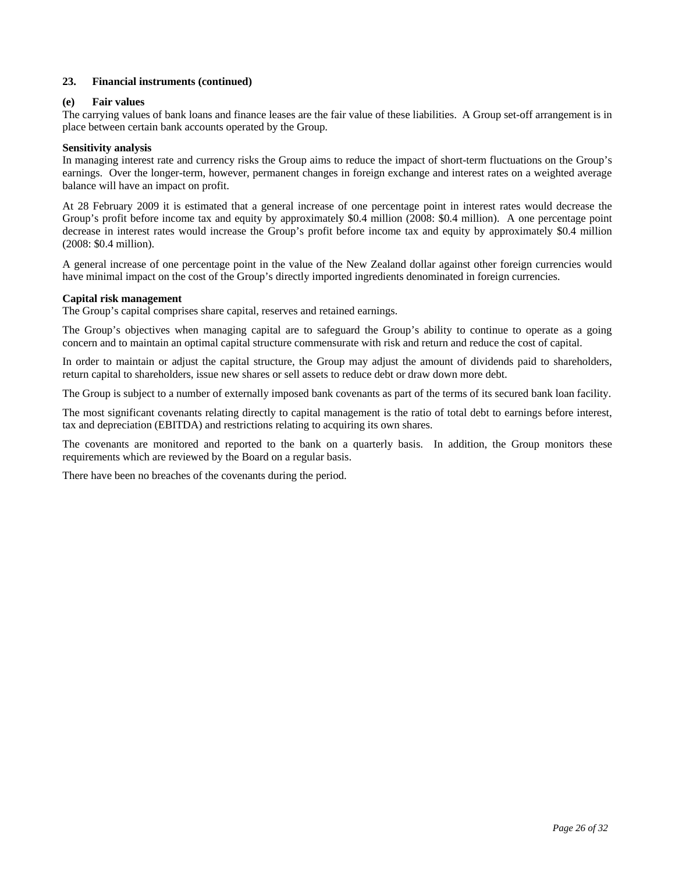# **23. Financial instruments (continued)**

# **(e) Fair values**

The carrying values of bank loans and finance leases are the fair value of these liabilities. A Group set-off arrangement is in place between certain bank accounts operated by the Group.

# **Sensitivity analysis**

In managing interest rate and currency risks the Group aims to reduce the impact of short-term fluctuations on the Group's earnings. Over the longer-term, however, permanent changes in foreign exchange and interest rates on a weighted average balance will have an impact on profit.

At 28 February 2009 it is estimated that a general increase of one percentage point in interest rates would decrease the Group's profit before income tax and equity by approximately \$0.4 million (2008: \$0.4 million). A one percentage point decrease in interest rates would increase the Group's profit before income tax and equity by approximately \$0.4 million (2008: \$0.4 million).

A general increase of one percentage point in the value of the New Zealand dollar against other foreign currencies would have minimal impact on the cost of the Group's directly imported ingredients denominated in foreign currencies.

# **Capital risk management**

The Group's capital comprises share capital, reserves and retained earnings.

The Group's objectives when managing capital are to safeguard the Group's ability to continue to operate as a going concern and to maintain an optimal capital structure commensurate with risk and return and reduce the cost of capital.

In order to maintain or adjust the capital structure, the Group may adjust the amount of dividends paid to shareholders, return capital to shareholders, issue new shares or sell assets to reduce debt or draw down more debt.

The Group is subject to a number of externally imposed bank covenants as part of the terms of its secured bank loan facility.

The most significant covenants relating directly to capital management is the ratio of total debt to earnings before interest, tax and depreciation (EBITDA) and restrictions relating to acquiring its own shares.

The covenants are monitored and reported to the bank on a quarterly basis. In addition, the Group monitors these requirements which are reviewed by the Board on a regular basis.

There have been no breaches of the covenants during the period.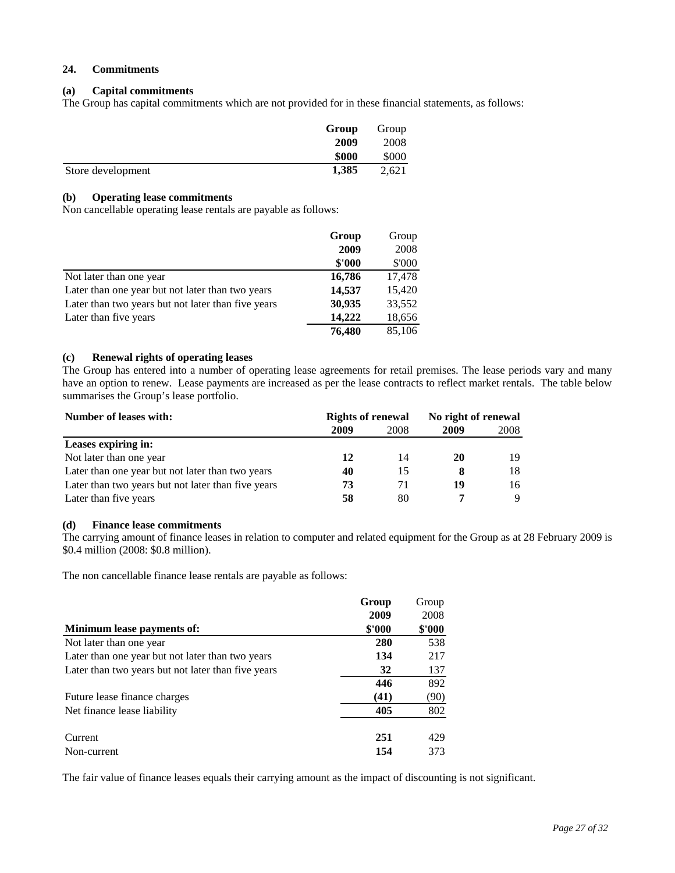# **24. Commitments**

# **(a) Capital commitments**

The Group has capital commitments which are not provided for in these financial statements, as follows:

|                   | Group | Group |
|-------------------|-------|-------|
|                   | 2009  | 2008  |
|                   | \$000 | \$000 |
| Store development | 1,385 | 2,621 |

# **(b) Operating lease commitments**

Non cancellable operating lease rentals are payable as follows:

|                                                    | Group  | Group  |
|----------------------------------------------------|--------|--------|
|                                                    | 2009   | 2008   |
|                                                    | \$'000 | \$'000 |
| Not later than one year                            | 16,786 | 17,478 |
| Later than one year but not later than two years   | 14,537 | 15,420 |
| Later than two years but not later than five years | 30,935 | 33,552 |
| Later than five years                              | 14.222 | 18,656 |
|                                                    | 76,480 | 85,106 |

**(c) Renewal rights of operating leases** The Group has entered into a number of operating lease agreements for retail premises. The lease periods vary and many have an option to renew. Lease payments are increased as per the lease contracts to reflect market rentals. The table below summarises the Group's lease portfolio.

| Number of leases with:                             | <b>Rights of renewal</b> |      | No right of renewal |      |
|----------------------------------------------------|--------------------------|------|---------------------|------|
|                                                    | 2009                     | 2008 | 2009                | 2008 |
| Leases expiring in:                                |                          |      |                     |      |
| Not later than one year                            | 12                       | 14   | 20                  | 19   |
| Later than one year but not later than two years   | 40                       | 15   |                     | 18   |
| Later than two years but not later than five years | 73                       | 71   | 19                  | 16   |
| Later than five years                              | 58                       | 80   |                     | 9    |

# **(d) Finance lease commitments**

The carrying amount of finance leases in relation to computer and related equipment for the Group as at 28 February 2009 is \$0.4 million (2008: \$0.8 million).

The non cancellable finance lease rentals are payable as follows:

|                                                    | Group  | Group  |
|----------------------------------------------------|--------|--------|
|                                                    | 2009   | 2008   |
| Minimum lease payments of:                         | \$'000 | \$'000 |
| Not later than one year                            | 280    | 538    |
| Later than one year but not later than two years   | 134    | 217    |
| Later than two years but not later than five years | 32     | 137    |
|                                                    | 446    | 892    |
| Future lease finance charges                       | (41)   | (90)   |
| Net finance lease liability                        | 405    | 802    |
| Current                                            | 251    | 429    |
| Non-current                                        | 154    | 373    |

The fair value of finance leases equals their carrying amount as the impact of discounting is not significant.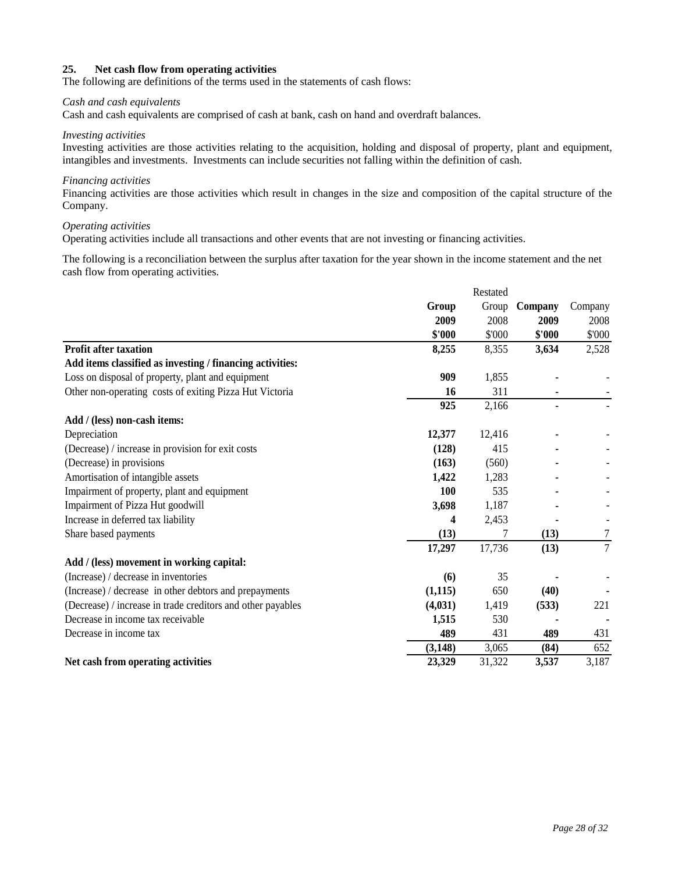# **25. Net cash flow from operating activities**

The following are definitions of the terms used in the statements of cash flows:

# *Cash and cash equivalents*

Cash and cash equivalents are comprised of cash at bank, cash on hand and overdraft balances.

# *Investing activities*

Investing activities are those activities relating to the acquisition, holding and disposal of property, plant and equipment, intangibles and investments. Investments can include securities not falling within the definition of cash.

# *Financing activities*

Financing activities are those activities which result in changes in the size and composition of the capital structure of the Company.

## *Operating activities*

Operating activities include all transactions and other events that are not investing or financing activities.

The following is a reconciliation between the surplus after taxation for the year shown in the income statement and the net cash flow from operating activities.

|                                                             |          | Restated |         |                |
|-------------------------------------------------------------|----------|----------|---------|----------------|
|                                                             | Group    | Group    | Company | Company        |
|                                                             | 2009     | 2008     | 2009    | 2008           |
|                                                             | \$'000   | \$'000   | \$'000  | \$'000         |
| <b>Profit after taxation</b>                                | 8,255    | 8,355    | 3,634   | 2,528          |
| Add items classified as investing / financing activities:   |          |          |         |                |
| Loss on disposal of property, plant and equipment           | 909      | 1,855    |         |                |
| Other non-operating costs of exiting Pizza Hut Victoria     | 16       | 311      | ٠       |                |
|                                                             | 925      | 2,166    |         |                |
| Add / (less) non-cash items:                                |          |          |         |                |
| Depreciation                                                | 12,377   | 12,416   |         |                |
| (Decrease) / increase in provision for exit costs           | (128)    | 415      |         |                |
| (Decrease) in provisions                                    | (163)    | (560)    |         |                |
| Amortisation of intangible assets                           | 1,422    | 1,283    |         |                |
| Impairment of property, plant and equipment                 | 100      | 535      |         |                |
| Impairment of Pizza Hut goodwill                            | 3,698    | 1,187    |         |                |
| Increase in deferred tax liability                          | 4        | 2,453    |         |                |
| Share based payments                                        | (13)     | 7        | (13)    | $\tau$         |
|                                                             | 17,297   | 17,736   | (13)    | $\overline{7}$ |
| Add / (less) movement in working capital:                   |          |          |         |                |
| (Increase) / decrease in inventories                        | (6)      | 35       |         |                |
| (Increase) / decrease in other debtors and prepayments      | (1, 115) | 650      | (40)    |                |
| (Decrease) / increase in trade creditors and other payables | (4,031)  | 1,419    | (533)   | 221            |
| Decrease in income tax receivable                           | 1,515    | 530      |         |                |
| Decrease in income tax                                      | 489      | 431      | 489     | 431            |
|                                                             | (3, 148) | 3,065    | (84)    | 652            |
| Net cash from operating activities                          | 23,329   | 31,322   | 3,537   | 3,187          |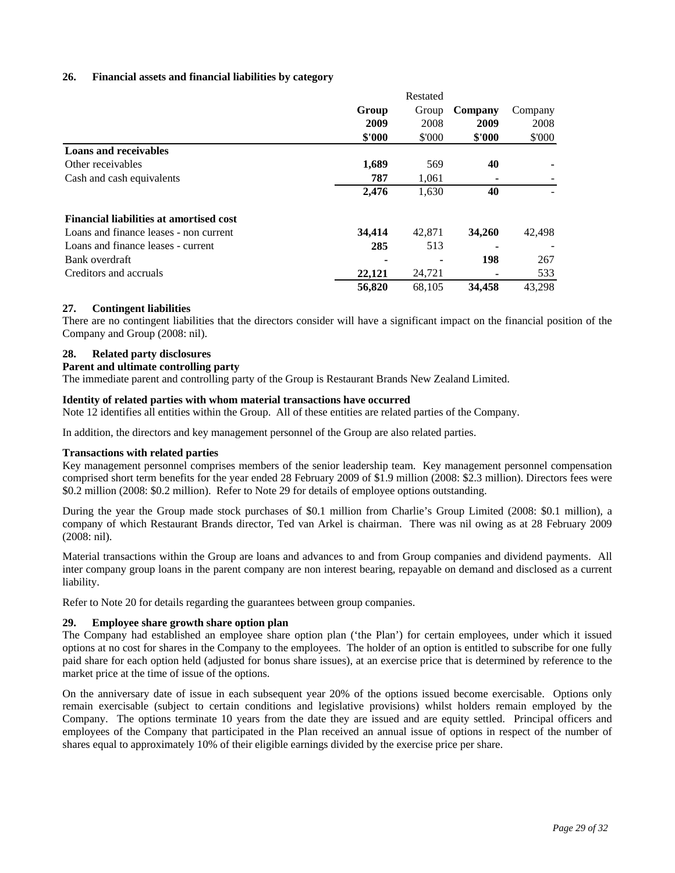# **26. Financial assets and financial liabilities by category**

|                                                |        | Restated |         |         |
|------------------------------------------------|--------|----------|---------|---------|
|                                                | Group  | Group    | Company | Company |
|                                                | 2009   | 2008     | 2009    | 2008    |
|                                                | \$'000 | \$'000   | \$'000  | \$'000  |
| <b>Loans and receivables</b>                   |        |          |         |         |
| Other receivables                              | 1.689  | 569      | 40      |         |
| Cash and cash equivalents                      | 787    | 1,061    |         |         |
|                                                | 2.476  | 1,630    | 40      |         |
| <b>Financial liabilities at amortised cost</b> |        |          |         |         |
| Loans and finance leases - non current         | 34,414 | 42,871   | 34,260  | 42,498  |
| Loans and finance leases - current             | 285    | 513      |         |         |
| Bank overdraft                                 |        |          | 198     | 267     |
| Creditors and accruals                         | 22,121 | 24,721   |         | 533     |
|                                                | 56,820 | 68.105   | 34,458  | 43.298  |

# **27. Contingent liabilities**

There are no contingent liabilities that the directors consider will have a significant impact on the financial position of the Company and Group (2008: nil).

# **28. Related party disclosures**

## **Parent and ultimate controlling party**

The immediate parent and controlling party of the Group is Restaurant Brands New Zealand Limited.

# **Identity of related parties with whom material transactions have occurred**

Note 12 identifies all entities within the Group. All of these entities are related parties of the Company.

In addition, the directors and key management personnel of the Group are also related parties.

# **Transactions with related parties**

Key management personnel comprises members of the senior leadership team. Key management personnel compensation comprised short term benefits for the year ended 28 February 2009 of \$1.9 million (2008: \$2.3 million). Directors fees were \$0.2 million (2008: \$0.2 million). Refer to Note 29 for details of employee options outstanding.

During the year the Group made stock purchases of \$0.1 million from Charlie's Group Limited (2008: \$0.1 million), a company of which Restaurant Brands director, Ted van Arkel is chairman. There was nil owing as at 28 February 2009 (2008: nil).

Material transactions within the Group are loans and advances to and from Group companies and dividend payments. All inter company group loans in the parent company are non interest bearing, repayable on demand and disclosed as a current liability.

Refer to Note 20 for details regarding the guarantees between group companies.

# **29. Employee share growth share option plan**

The Company had established an employee share option plan ('the Plan') for certain employees, under which it issued options at no cost for shares in the Company to the employees. The holder of an option is entitled to subscribe for one fully paid share for each option held (adjusted for bonus share issues), at an exercise price that is determined by reference to the market price at the time of issue of the options.

On the anniversary date of issue in each subsequent year 20% of the options issued become exercisable. Options only remain exercisable (subject to certain conditions and legislative provisions) whilst holders remain employed by the Company. The options terminate 10 years from the date they are issued and are equity settled. Principal officers and employees of the Company that participated in the Plan received an annual issue of options in respect of the number of shares equal to approximately 10% of their eligible earnings divided by the exercise price per share.